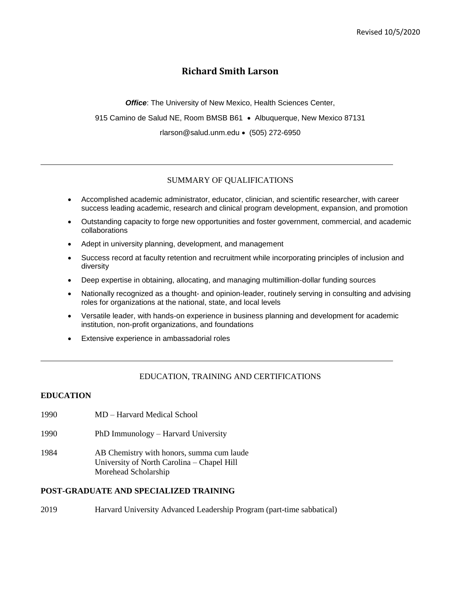# **Richard Smith Larson**

*Office*: The University of New Mexico, Health Sciences Center,

915 Camino de Salud NE, Room BMSB B61 · Albuquerque, New Mexico 87131

rlarson@salud.unm.edu (505) 272-6950

## SUMMARY OF QUALIFICATIONS

- Accomplished academic administrator, educator, clinician, and scientific researcher, with career success leading academic, research and clinical program development, expansion, and promotion
- Outstanding capacity to forge new opportunities and foster government, commercial, and academic collaborations
- Adept in university planning, development, and management
- Success record at faculty retention and recruitment while incorporating principles of inclusion and diversity
- Deep expertise in obtaining, allocating, and managing multimillion-dollar funding sources
- Nationally recognized as a thought- and opinion-leader, routinely serving in consulting and advising roles for organizations at the national, state, and local levels
- Versatile leader, with hands-on experience in business planning and development for academic institution, non-profit organizations, and foundations
- Extensive experience in ambassadorial roles

### EDUCATION, TRAINING AND CERTIFICATIONS

### **EDUCATION**

- 1990 MD Harvard Medical School
- 1990 PhD Immunology Harvard University
- 1984 AB Chemistry with honors, summa cum laude University of North Carolina – Chapel Hill Morehead Scholarship

### **POST-GRADUATE AND SPECIALIZED TRAINING**

2019 Harvard University Advanced Leadership Program (part-time sabbatical)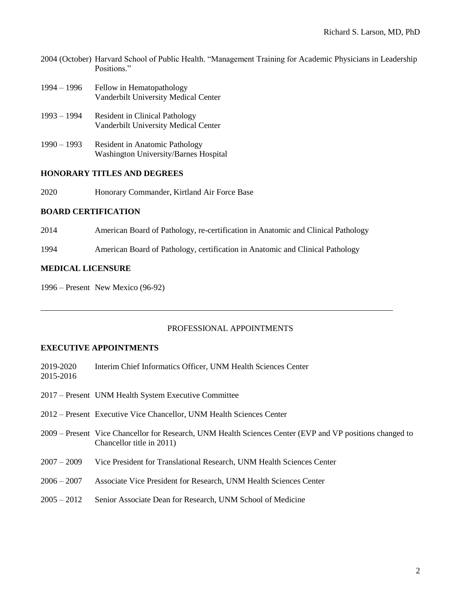- 2004 (October) Harvard School of Public Health. "Management Training for Academic Physicians in Leadership Positions."
- 1994 1996 Fellow in Hematopathology Vanderbilt University Medical Center
- 1993 1994 Resident in Clinical Pathology Vanderbilt University Medical Center
- 1990 1993 Resident in Anatomic Pathology Washington University/Barnes Hospital

## **HONORARY TITLES AND DEGREES**

2020 Honorary Commander, Kirtland Air Force Base

## **BOARD CERTIFICATION**

- 2014 American Board of Pathology, re-certification in Anatomic and Clinical Pathology
- 1994 American Board of Pathology, certification in Anatomic and Clinical Pathology

### **MEDICAL LICENSURE**

1996 – Present New Mexico (96-92)

### PROFESSIONAL APPOINTMENTS

## **EXECUTIVE APPOINTMENTS**

- 2019-2020 Interim Chief Informatics Officer, UNM Health Sciences Center 2015-2016
- 2017 Present UNM Health System Executive Committee
- 2012 Present Executive Vice Chancellor, UNM Health Sciences Center
- 2009 Present Vice Chancellor for Research, UNM Health Sciences Center (EVP and VP positions changed to Chancellor title in 2011)
- 2007 2009 Vice President for Translational Research, UNM Health Sciences Center
- 2006 2007 Associate Vice President for Research, UNM Health Sciences Center
- 2005 2012 Senior Associate Dean for Research, UNM School of Medicine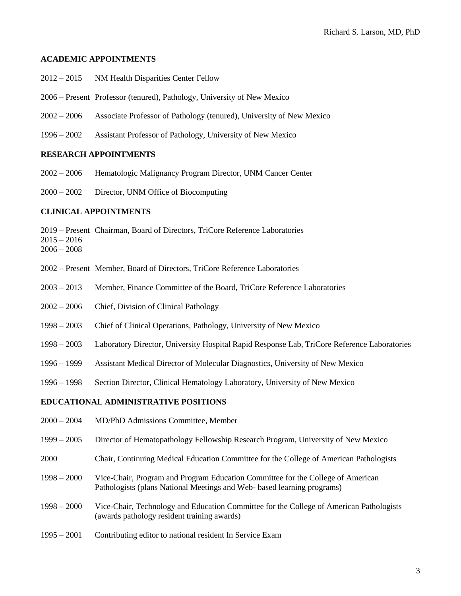### **ACADEMIC APPOINTMENTS**

- 2015 NM Health Disparities Center Fellow
- Present Professor (tenured), Pathology, University of New Mexico
- 2006 Associate Professor of Pathology (tenured), University of New Mexico
- 2002 Assistant Professor of Pathology, University of New Mexico

#### **RESEARCH APPOINTMENTS**

- 2006 Hematologic Malignancy Program Director, UNM Cancer Center
- 2002 Director, UNM Office of Biocomputing

#### **CLINICAL APPOINTMENTS**

- Present Chairman, Board of Directors, TriCore Reference Laboratories
- $2015 2016$
- 2008
- Present Member, Board of Directors, TriCore Reference Laboratories
- 2013 Member, Finance Committee of the Board, TriCore Reference Laboratories
- 2006 Chief, Division of Clinical Pathology
- 2003 Chief of Clinical Operations, Pathology, University of New Mexico
- 2003 Laboratory Director, University Hospital Rapid Response Lab, TriCore Reference Laboratories
- 1999 Assistant Medical Director of Molecular Diagnostics, University of New Mexico
- 1998 Section Director, Clinical Hematology Laboratory, University of New Mexico

#### **EDUCATIONAL ADMINISTRATIVE POSITIONS**

- 2004 MD/PhD Admissions Committee, Member
- 2005 Director of Hematopathology Fellowship Research Program, University of New Mexico
- Chair, Continuing Medical Education Committee for the College of American Pathologists
- 2000 Vice-Chair, Program and Program Education Committee for the College of American Pathologists (plans National Meetings and Web- based learning programs)
- 2000 Vice-Chair, Technology and Education Committee for the College of American Pathologists (awards pathology resident training awards)
- 2001 Contributing editor to national resident In Service Exam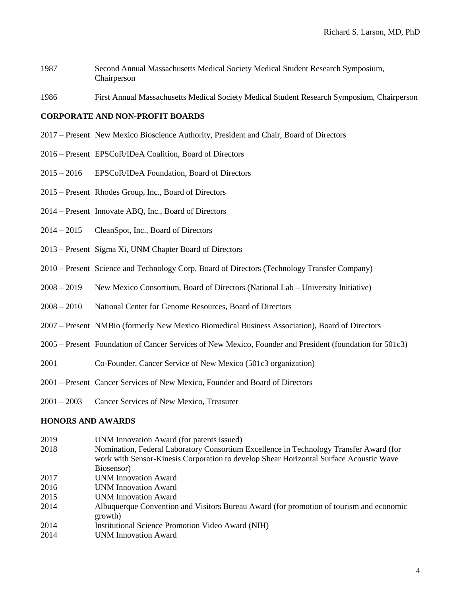- Second Annual Massachusetts Medical Society Medical Student Research Symposium, Chairperson
- First Annual Massachusetts Medical Society Medical Student Research Symposium, Chairperson

## **CORPORATE AND NON-PROFIT BOARDS**

- 2017 Present New Mexico Bioscience Authority, President and Chair, Board of Directors
- 2016 Present EPSCoR/IDeA Coalition, Board of Directors
- 2015 2016 EPSCoR/IDeA Foundation, Board of Directors
- Present Rhodes Group, Inc., Board of Directors
- Present Innovate ABQ, Inc., Board of Directors
- 2015 CleanSpot, Inc., Board of Directors
- Present Sigma Xi, UNM Chapter Board of Directors
- Present Science and Technology Corp, Board of Directors (Technology Transfer Company)
- 2019 New Mexico Consortium, Board of Directors (National Lab University Initiative)
- 2010 National Center for Genome Resources, Board of Directors
- Present NMBio (formerly New Mexico Biomedical Business Association), Board of Directors
- Present Foundation of Cancer Services of New Mexico, Founder and President (foundation for 501c3)
- Co-Founder, Cancer Service of New Mexico (501c3 organization)
- Present Cancer Services of New Mexico, Founder and Board of Directors
- 2003 Cancer Services of New Mexico, Treasurer

#### **HONORS AND AWARDS**

| 2019 | UNM Innovation Award (for patents issued)                                               |
|------|-----------------------------------------------------------------------------------------|
| 2018 | Nomination, Federal Laboratory Consortium Excellence in Technology Transfer Award (for  |
|      | work with Sensor-Kinesis Corporation to develop Shear Horizontal Surface Acoustic Wave  |
|      | Biosensor)                                                                              |
| 2017 | <b>UNM</b> Innovation Award                                                             |
| 2016 | UNM Innovation Award                                                                    |
| 2015 | <b>UNM</b> Innovation Award                                                             |
| 2014 | Albuquerque Convention and Visitors Bureau Award (for promotion of tourism and economic |
|      | growth)                                                                                 |
| 2014 | Institutional Science Promotion Video Award (NIH)                                       |
| 2014 | <b>UNM</b> Innovation Award                                                             |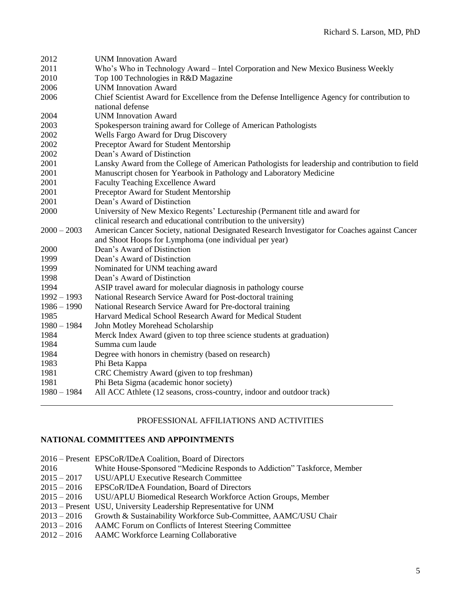| Who's Who in Technology Award – Intel Corporation and New Mexico Business Weekly<br>Top 100 Technologies in R&D Magazine<br><b>UNM Innovation Award</b><br>Chief Scientist Award for Excellence from the Defense Intelligence Agency for contribution to<br>national defense<br><b>UNM Innovation Award</b><br>Spokesperson training award for College of American Pathologists<br><b>Wells Fargo Award for Drug Discovery</b><br>Preceptor Award for Student Mentorship<br>Dean's Award of Distinction<br>Lansky Award from the College of American Pathologists for leadership and contribution to field<br>Manuscript chosen for Yearbook in Pathology and Laboratory Medicine<br>Faculty Teaching Excellence Award<br>Preceptor Award for Student Mentorship<br>Dean's Award of Distinction<br>University of New Mexico Regents' Lectureship (Permanent title and award for<br>clinical research and educational contribution to the university)<br>American Cancer Society, national Designated Research Investigator for Coaches against Cancer<br>and Shoot Hoops for Lymphoma (one individual per year)<br>Dean's Award of Distinction<br>Dean's Award of Distinction<br>Nominated for UNM teaching award<br>Dean's Award of Distinction<br>ASIP travel award for molecular diagnosis in pathology course<br>National Research Service Award for Post-doctoral training<br>National Research Service Award for Pre-doctoral training<br>Harvard Medical School Research Award for Medical Student<br>John Motley Morehead Scholarship<br>Merck Index Award (given to top three science students at graduation)<br>Summa cum laude<br>Degree with honors in chemistry (based on research)<br>Phi Beta Kappa<br>CRC Chemistry Award (given to top freshman) | 2012          | <b>UNM Innovation Award</b>                                           |
|-------------------------------------------------------------------------------------------------------------------------------------------------------------------------------------------------------------------------------------------------------------------------------------------------------------------------------------------------------------------------------------------------------------------------------------------------------------------------------------------------------------------------------------------------------------------------------------------------------------------------------------------------------------------------------------------------------------------------------------------------------------------------------------------------------------------------------------------------------------------------------------------------------------------------------------------------------------------------------------------------------------------------------------------------------------------------------------------------------------------------------------------------------------------------------------------------------------------------------------------------------------------------------------------------------------------------------------------------------------------------------------------------------------------------------------------------------------------------------------------------------------------------------------------------------------------------------------------------------------------------------------------------------------------------------------------------------------------------------------------------------------------|---------------|-----------------------------------------------------------------------|
|                                                                                                                                                                                                                                                                                                                                                                                                                                                                                                                                                                                                                                                                                                                                                                                                                                                                                                                                                                                                                                                                                                                                                                                                                                                                                                                                                                                                                                                                                                                                                                                                                                                                                                                                                                   | 2011          |                                                                       |
|                                                                                                                                                                                                                                                                                                                                                                                                                                                                                                                                                                                                                                                                                                                                                                                                                                                                                                                                                                                                                                                                                                                                                                                                                                                                                                                                                                                                                                                                                                                                                                                                                                                                                                                                                                   | 2010          |                                                                       |
|                                                                                                                                                                                                                                                                                                                                                                                                                                                                                                                                                                                                                                                                                                                                                                                                                                                                                                                                                                                                                                                                                                                                                                                                                                                                                                                                                                                                                                                                                                                                                                                                                                                                                                                                                                   | 2006          |                                                                       |
|                                                                                                                                                                                                                                                                                                                                                                                                                                                                                                                                                                                                                                                                                                                                                                                                                                                                                                                                                                                                                                                                                                                                                                                                                                                                                                                                                                                                                                                                                                                                                                                                                                                                                                                                                                   | 2006          |                                                                       |
|                                                                                                                                                                                                                                                                                                                                                                                                                                                                                                                                                                                                                                                                                                                                                                                                                                                                                                                                                                                                                                                                                                                                                                                                                                                                                                                                                                                                                                                                                                                                                                                                                                                                                                                                                                   | 2004          |                                                                       |
|                                                                                                                                                                                                                                                                                                                                                                                                                                                                                                                                                                                                                                                                                                                                                                                                                                                                                                                                                                                                                                                                                                                                                                                                                                                                                                                                                                                                                                                                                                                                                                                                                                                                                                                                                                   | 2003          |                                                                       |
|                                                                                                                                                                                                                                                                                                                                                                                                                                                                                                                                                                                                                                                                                                                                                                                                                                                                                                                                                                                                                                                                                                                                                                                                                                                                                                                                                                                                                                                                                                                                                                                                                                                                                                                                                                   | 2002          |                                                                       |
|                                                                                                                                                                                                                                                                                                                                                                                                                                                                                                                                                                                                                                                                                                                                                                                                                                                                                                                                                                                                                                                                                                                                                                                                                                                                                                                                                                                                                                                                                                                                                                                                                                                                                                                                                                   | 2002          |                                                                       |
|                                                                                                                                                                                                                                                                                                                                                                                                                                                                                                                                                                                                                                                                                                                                                                                                                                                                                                                                                                                                                                                                                                                                                                                                                                                                                                                                                                                                                                                                                                                                                                                                                                                                                                                                                                   | 2002          |                                                                       |
|                                                                                                                                                                                                                                                                                                                                                                                                                                                                                                                                                                                                                                                                                                                                                                                                                                                                                                                                                                                                                                                                                                                                                                                                                                                                                                                                                                                                                                                                                                                                                                                                                                                                                                                                                                   | 2001          |                                                                       |
|                                                                                                                                                                                                                                                                                                                                                                                                                                                                                                                                                                                                                                                                                                                                                                                                                                                                                                                                                                                                                                                                                                                                                                                                                                                                                                                                                                                                                                                                                                                                                                                                                                                                                                                                                                   | 2001          |                                                                       |
|                                                                                                                                                                                                                                                                                                                                                                                                                                                                                                                                                                                                                                                                                                                                                                                                                                                                                                                                                                                                                                                                                                                                                                                                                                                                                                                                                                                                                                                                                                                                                                                                                                                                                                                                                                   | 2001          |                                                                       |
|                                                                                                                                                                                                                                                                                                                                                                                                                                                                                                                                                                                                                                                                                                                                                                                                                                                                                                                                                                                                                                                                                                                                                                                                                                                                                                                                                                                                                                                                                                                                                                                                                                                                                                                                                                   | 2001          |                                                                       |
|                                                                                                                                                                                                                                                                                                                                                                                                                                                                                                                                                                                                                                                                                                                                                                                                                                                                                                                                                                                                                                                                                                                                                                                                                                                                                                                                                                                                                                                                                                                                                                                                                                                                                                                                                                   | 2001          |                                                                       |
|                                                                                                                                                                                                                                                                                                                                                                                                                                                                                                                                                                                                                                                                                                                                                                                                                                                                                                                                                                                                                                                                                                                                                                                                                                                                                                                                                                                                                                                                                                                                                                                                                                                                                                                                                                   | 2000          |                                                                       |
|                                                                                                                                                                                                                                                                                                                                                                                                                                                                                                                                                                                                                                                                                                                                                                                                                                                                                                                                                                                                                                                                                                                                                                                                                                                                                                                                                                                                                                                                                                                                                                                                                                                                                                                                                                   |               |                                                                       |
|                                                                                                                                                                                                                                                                                                                                                                                                                                                                                                                                                                                                                                                                                                                                                                                                                                                                                                                                                                                                                                                                                                                                                                                                                                                                                                                                                                                                                                                                                                                                                                                                                                                                                                                                                                   | $2000 - 2003$ |                                                                       |
|                                                                                                                                                                                                                                                                                                                                                                                                                                                                                                                                                                                                                                                                                                                                                                                                                                                                                                                                                                                                                                                                                                                                                                                                                                                                                                                                                                                                                                                                                                                                                                                                                                                                                                                                                                   |               |                                                                       |
|                                                                                                                                                                                                                                                                                                                                                                                                                                                                                                                                                                                                                                                                                                                                                                                                                                                                                                                                                                                                                                                                                                                                                                                                                                                                                                                                                                                                                                                                                                                                                                                                                                                                                                                                                                   | 2000          |                                                                       |
|                                                                                                                                                                                                                                                                                                                                                                                                                                                                                                                                                                                                                                                                                                                                                                                                                                                                                                                                                                                                                                                                                                                                                                                                                                                                                                                                                                                                                                                                                                                                                                                                                                                                                                                                                                   | 1999          |                                                                       |
|                                                                                                                                                                                                                                                                                                                                                                                                                                                                                                                                                                                                                                                                                                                                                                                                                                                                                                                                                                                                                                                                                                                                                                                                                                                                                                                                                                                                                                                                                                                                                                                                                                                                                                                                                                   | 1999          |                                                                       |
|                                                                                                                                                                                                                                                                                                                                                                                                                                                                                                                                                                                                                                                                                                                                                                                                                                                                                                                                                                                                                                                                                                                                                                                                                                                                                                                                                                                                                                                                                                                                                                                                                                                                                                                                                                   | 1998          |                                                                       |
|                                                                                                                                                                                                                                                                                                                                                                                                                                                                                                                                                                                                                                                                                                                                                                                                                                                                                                                                                                                                                                                                                                                                                                                                                                                                                                                                                                                                                                                                                                                                                                                                                                                                                                                                                                   | 1994          |                                                                       |
|                                                                                                                                                                                                                                                                                                                                                                                                                                                                                                                                                                                                                                                                                                                                                                                                                                                                                                                                                                                                                                                                                                                                                                                                                                                                                                                                                                                                                                                                                                                                                                                                                                                                                                                                                                   | $1992 - 1993$ |                                                                       |
|                                                                                                                                                                                                                                                                                                                                                                                                                                                                                                                                                                                                                                                                                                                                                                                                                                                                                                                                                                                                                                                                                                                                                                                                                                                                                                                                                                                                                                                                                                                                                                                                                                                                                                                                                                   | $1986 - 1990$ |                                                                       |
|                                                                                                                                                                                                                                                                                                                                                                                                                                                                                                                                                                                                                                                                                                                                                                                                                                                                                                                                                                                                                                                                                                                                                                                                                                                                                                                                                                                                                                                                                                                                                                                                                                                                                                                                                                   | 1985          |                                                                       |
|                                                                                                                                                                                                                                                                                                                                                                                                                                                                                                                                                                                                                                                                                                                                                                                                                                                                                                                                                                                                                                                                                                                                                                                                                                                                                                                                                                                                                                                                                                                                                                                                                                                                                                                                                                   | $1980 - 1984$ |                                                                       |
|                                                                                                                                                                                                                                                                                                                                                                                                                                                                                                                                                                                                                                                                                                                                                                                                                                                                                                                                                                                                                                                                                                                                                                                                                                                                                                                                                                                                                                                                                                                                                                                                                                                                                                                                                                   | 1984          |                                                                       |
|                                                                                                                                                                                                                                                                                                                                                                                                                                                                                                                                                                                                                                                                                                                                                                                                                                                                                                                                                                                                                                                                                                                                                                                                                                                                                                                                                                                                                                                                                                                                                                                                                                                                                                                                                                   | 1984          |                                                                       |
|                                                                                                                                                                                                                                                                                                                                                                                                                                                                                                                                                                                                                                                                                                                                                                                                                                                                                                                                                                                                                                                                                                                                                                                                                                                                                                                                                                                                                                                                                                                                                                                                                                                                                                                                                                   | 1984          |                                                                       |
|                                                                                                                                                                                                                                                                                                                                                                                                                                                                                                                                                                                                                                                                                                                                                                                                                                                                                                                                                                                                                                                                                                                                                                                                                                                                                                                                                                                                                                                                                                                                                                                                                                                                                                                                                                   | 1983          |                                                                       |
|                                                                                                                                                                                                                                                                                                                                                                                                                                                                                                                                                                                                                                                                                                                                                                                                                                                                                                                                                                                                                                                                                                                                                                                                                                                                                                                                                                                                                                                                                                                                                                                                                                                                                                                                                                   | 1981          |                                                                       |
| Phi Beta Sigma (academic honor society)                                                                                                                                                                                                                                                                                                                                                                                                                                                                                                                                                                                                                                                                                                                                                                                                                                                                                                                                                                                                                                                                                                                                                                                                                                                                                                                                                                                                                                                                                                                                                                                                                                                                                                                           | 1981          |                                                                       |
|                                                                                                                                                                                                                                                                                                                                                                                                                                                                                                                                                                                                                                                                                                                                                                                                                                                                                                                                                                                                                                                                                                                                                                                                                                                                                                                                                                                                                                                                                                                                                                                                                                                                                                                                                                   | $1980 - 1984$ | All ACC Athlete (12 seasons, cross-country, indoor and outdoor track) |
|                                                                                                                                                                                                                                                                                                                                                                                                                                                                                                                                                                                                                                                                                                                                                                                                                                                                                                                                                                                                                                                                                                                                                                                                                                                                                                                                                                                                                                                                                                                                                                                                                                                                                                                                                                   |               |                                                                       |

## PROFESSIONAL AFFILIATIONS AND ACTIVITIES

# **NATIONAL COMMITTEES AND APPOINTMENTS**

| 2016 – Present EPSCoR/IDeA Coalition, Board of Directors                 |
|--------------------------------------------------------------------------|
| White House-Sponsored "Medicine Responds to Addiction" Taskforce, Member |
| <b>USU/APLU Executive Research Committee</b>                             |
| EPSCoR/IDeA Foundation, Board of Directors                               |
| USU/APLU Biomedical Research Workforce Action Groups, Member             |
| 2013 – Present USU, University Leadership Representative for UNM         |
| Growth & Sustainability Workforce Sub-Committee, AAMC/USU Chair          |
| AAMC Forum on Conflicts of Interest Steering Committee                   |
| <b>AAMC</b> Workforce Learning Collaborative                             |
|                                                                          |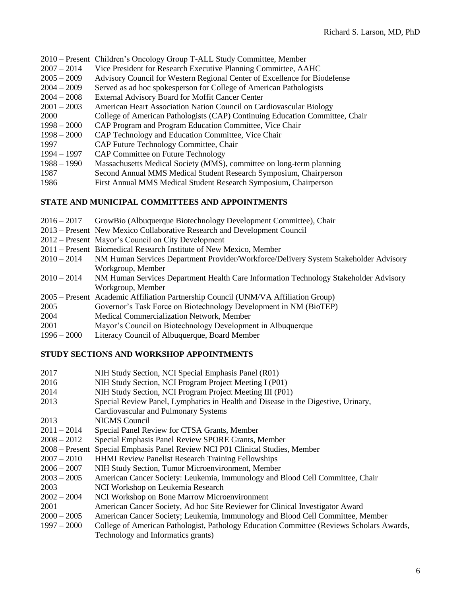|               | 2010 – Present Children's Oncology Group T-ALL Study Committee, Member       |
|---------------|------------------------------------------------------------------------------|
| $2007 - 2014$ | Vice President for Research Executive Planning Committee, AAHC               |
| $2005 - 2009$ | Advisory Council for Western Regional Center of Excellence for Biodefense    |
| $2004 - 2009$ | Served as ad hoc spokesperson for College of American Pathologists           |
| $2004 - 2008$ | <b>External Advisory Board for Moffit Cancer Center</b>                      |
| $2001 - 2003$ | American Heart Association Nation Council on Cardiovascular Biology          |
| 2000          | College of American Pathologists (CAP) Continuing Education Committee, Chair |
| $1998 - 2000$ | CAP Program and Program Education Committee, Vice Chair                      |
| $1998 - 2000$ | CAP Technology and Education Committee, Vice Chair                           |
| 1997          | CAP Future Technology Committee, Chair                                       |
| $1994 - 1997$ | <b>CAP Committee on Future Technology</b>                                    |
| $1988 - 1990$ | Massachusetts Medical Society (MMS), committee on long-term planning         |
| 1987          | Second Annual MMS Medical Student Research Symposium, Chairperson            |
| 1986          | First Annual MMS Medical Student Research Symposium, Chairperson             |
|               |                                                                              |

## **STATE AND MUNICIPAL COMMITTEES AND APPOINTMENTS**

|               | 2016 – 2017 GrowBio (Albuquerque Biotechnology Development Committee), Chair         |
|---------------|--------------------------------------------------------------------------------------|
|               | 2013 – Present New Mexico Collaborative Research and Development Council             |
|               | 2012 – Present Mayor's Council on City Development                                   |
|               | 2011 – Present Biomedical Research Institute of New Mexico, Member                   |
| $2010 - 2014$ | NM Human Services Department Provider/Workforce/Delivery System Stakeholder Advisory |
|               | Workgroup, Member                                                                    |
| $2010 - 2014$ | NM Human Services Department Health Care Information Technology Stakeholder Advisory |
|               | Workgroup, Member                                                                    |
|               | 2005 – Present Academic Affiliation Partnership Council (UNM/VA Affiliation Group)   |
| 2005          | Governor's Task Force on Biotechnology Development in NM (BioTEP)                    |
| 2004          | Medical Commercialization Network, Member                                            |
| 2001          | Mayor's Council on Biotechnology Development in Albuquerque                          |
| $1996 - 2000$ | Literacy Council of Albuquerque, Board Member                                        |
|               |                                                                                      |

## **STUDY SECTIONS AND WORKSHOP APPOINTMENTS**

| 2017             | NIH Study Section, NCI Special Emphasis Panel (R01)                                      |
|------------------|------------------------------------------------------------------------------------------|
| 2016             | NIH Study Section, NCI Program Project Meeting I (P01)                                   |
| 2014             | NIH Study Section, NCI Program Project Meeting III (P01)                                 |
| 2013             | Special Review Panel, Lymphatics in Health and Disease in the Digestive, Urinary,        |
|                  | Cardiovascular and Pulmonary Systems                                                     |
| 2013             | NIGMS Council                                                                            |
| $2011 - 2014$    | Special Panel Review for CTSA Grants, Member                                             |
| $2008 - 2012$    | Special Emphasis Panel Review SPORE Grants, Member                                       |
| $2008 -$ Present | Special Emphasis Panel Review NCI P01 Clinical Studies, Member                           |
| $2007 - 2010$    | <b>HHMI</b> Review Panelist Research Training Fellowships                                |
| $2006 - 2007$    | NIH Study Section, Tumor Microenvironment, Member                                        |
| $2003 - 2005$    | American Cancer Society: Leukemia, Immunology and Blood Cell Committee, Chair            |
| 2003             | NCI Workshop on Leukemia Research                                                        |
| $2002 - 2004$    | NCI Workshop on Bone Marrow Microenvironment                                             |
| 2001             | American Cancer Society, Ad hoc Site Reviewer for Clinical Investigator Award            |
| $2000 - 2005$    | American Cancer Society; Leukemia, Immunology and Blood Cell Committee, Member           |
| $1997 - 2000$    | College of American Pathologist, Pathology Education Committee (Reviews Scholars Awards, |
|                  | Technology and Informatics grants)                                                       |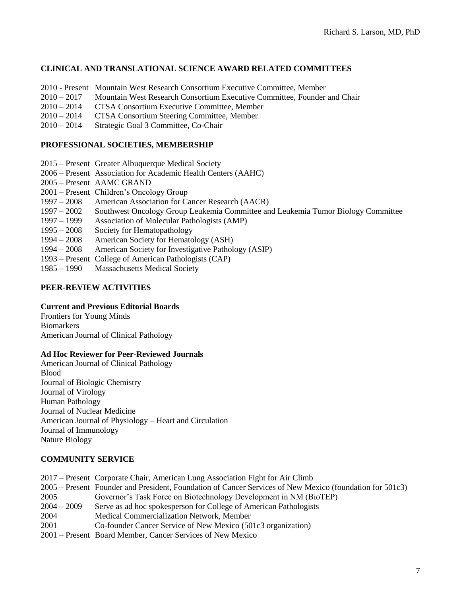## **CLINICAL AND TRANSLATIONAL SCIENCE AWARD RELATED COMMITTEES**

- 2010 Present Mountain West Research Consortium Executive Committee, Member
- 2010 2017 Mountain West Research Consortium Executive Committee, Founder and Chair
- 2010 2014 CTSA Consortium Executive Committee, Member
- 2010 2014 CTSA Consortium Steering Committee, Member
- 2010 2014 Strategic Goal 3 Committee, Co-Chair

## **PROFESSIONAL SOCIETIES, MEMBERSHIP**

- 2015 Present Greater Albuquerque Medical Society
- 2006 Present Association for Academic Health Centers (AAHC)
- 2005 Present AAMC GRAND
- 2001 Present Children's Oncology Group
- 1997 2008 American Association for Cancer Research (AACR)
- 1997 2002 Southwest Oncology Group Leukemia Committee and Leukemia Tumor Biology Committee
- 1997 1999 Association of Molecular Pathologists (AMP)
- 1995 2008 Society for Hematopathology
- 1994 2008 American Society for Hematology (ASH)
- 1994 2008 American Society for Investigative Pathology (ASIP)
- 1993 Present College of American Pathologists (CAP)
- 1985 1990 Massachusetts Medical Society

## **PEER-REVIEW ACTIVITIES**

### **Current and Previous Editorial Boards**

Frontiers for Young Minds **Biomarkers** American Journal of Clinical Pathology

## **Ad Hoc Reviewer for Peer-Reviewed Journals**

American Journal of Clinical Pathology Blood Journal of Biologic Chemistry Journal of Virology Human Pathology Journal of Nuclear Medicine American Journal of Physiology – Heart and Circulation Journal of Immunology Nature Biology

## **COMMUNITY SERVICE**

2017 – Present Corporate Chair, American Lung Association Fight for Air Climb – Present Founder and President, Foundation of Cancer Services of New Mexico (foundation for 501c3) Governor's Task Force on Biotechnology Development in NM (BioTEP) – 2009 Serve as ad hoc spokesperson for College of American Pathologists Medical Commercialization Network, Member Co-founder Cancer Service of New Mexico (501c3 organization) – Present Board Member, Cancer Services of New Mexico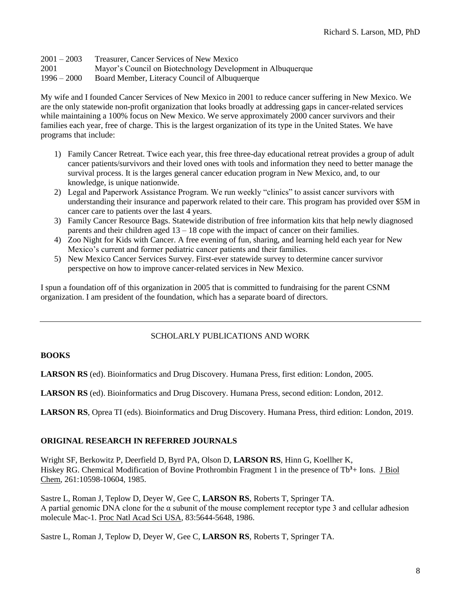2001 – 2003 Treasurer, Cancer Services of New Mexico 2001 Mayor's Council on Biotechnology Development in Albuquerque 1996 – 2000 Board Member, Literacy Council of Albuquerque

My wife and I founded Cancer Services of New Mexico in 2001 to reduce cancer suffering in New Mexico. We are the only statewide non-profit organization that looks broadly at addressing gaps in cancer-related services while maintaining a 100% focus on New Mexico. We serve approximately 2000 cancer survivors and their families each year, free of charge. This is the largest organization of its type in the United States. We have programs that include:

- 1) Family Cancer Retreat. Twice each year, this free three-day educational retreat provides a group of adult cancer patients/survivors and their loved ones with tools and information they need to better manage the survival process. It is the larges general cancer education program in New Mexico, and, to our knowledge, is unique nationwide.
- 2) Legal and Paperwork Assistance Program. We run weekly "clinics" to assist cancer survivors with understanding their insurance and paperwork related to their care. This program has provided over \$5M in cancer care to patients over the last 4 years.
- 3) Family Cancer Resource Bags. Statewide distribution of free information kits that help newly diagnosed parents and their children aged  $13 - 18$  cope with the impact of cancer on their families.
- 4) Zoo Night for Kids with Cancer. A free evening of fun, sharing, and learning held each year for New Mexico's current and former pediatric cancer patients and their families.
- 5) New Mexico Cancer Services Survey. First-ever statewide survey to determine cancer survivor perspective on how to improve cancer-related services in New Mexico.

I spun a foundation off of this organization in 2005 that is committed to fundraising for the parent CSNM organization. I am president of the foundation, which has a separate board of directors.

# SCHOLARLY PUBLICATIONS AND WORK

## **BOOKS**

**LARSON RS** (ed). Bioinformatics and Drug Discovery. Humana Press, first edition: London, 2005.

**LARSON RS** (ed). Bioinformatics and Drug Discovery. Humana Press, second edition: London, 2012.

**LARSON RS**, Oprea TI (eds). Bioinformatics and Drug Discovery. Humana Press, third edition: London, 2019.

## **ORIGINAL RESEARCH IN REFERRED JOURNALS**

Wright SF, Berkowitz P, Deerfield D, Byrd PA, Olson D, **LARSON RS**, Hinn G, Koellher K, Hiskey RG. Chemical Modification of Bovine Prothrombin Fragment 1 in the presence of  $Tb<sup>3</sup>$ + Ions. J Biol Chem, 261:10598-10604, 1985.

Sastre L, Roman J, Teplow D, Deyer W, Gee C, **LARSON RS**, Roberts T, Springer TA. A partial genomic DNA clone for the  $\alpha$  subunit of the mouse complement receptor type 3 and cellular adhesion molecule Mac-1. Proc Natl Acad Sci USA, 83:5644-5648, 1986.

Sastre L, Roman J, Teplow D, Deyer W, Gee C, **LARSON RS**, Roberts T, Springer TA.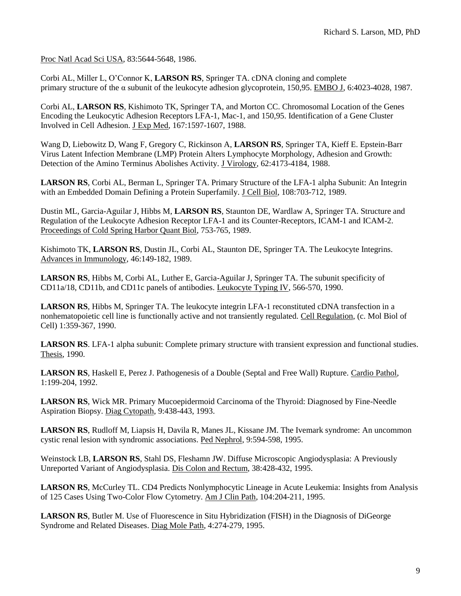Proc Natl Acad Sci USA, 83:5644-5648, 1986.

Corbi AL, Miller L, O'Connor K, **LARSON RS**, Springer TA. cDNA cloning and complete primary structure of the α subunit of the leukocyte adhesion glycoprotein, 150,95. EMBO J, 6:4023-4028, 1987.

Corbi AL, **LARSON RS**, Kishimoto TK, Springer TA, and Morton CC. Chromosomal Location of the Genes Encoding the Leukocytic Adhesion Receptors LFA-1, Mac-1, and 150,95. Identification of a Gene Cluster Involved in Cell Adhesion. J Exp Med, 167:1597-1607, 1988.

Wang D, Liebowitz D, Wang F, Gregory C, Rickinson A, **LARSON RS**, Springer TA, Kieff E. Epstein-Barr Virus Latent Infection Membrane (LMP) Protein Alters Lymphocyte Morphology, Adhesion and Growth: Detection of the Amino Terminus Abolishes Activity. J Virology, 62:4173-4184, 1988.

**LARSON RS**, Corbi AL, Berman L, Springer TA. Primary Structure of the LFA-1 alpha Subunit: An Integrin with an Embedded Domain Defining a Protein Superfamily. J Cell Biol, 108:703-712, 1989.

Dustin ML, Garcia-Aguilar J, Hibbs M, **LARSON RS**, Staunton DE, Wardlaw A, Springer TA. Structure and Regulation of the Leukocyte Adhesion Receptor LFA-1 and its Counter-Receptors, ICAM-1 and ICAM-2. Proceedings of Cold Spring Harbor Quant Biol, 753-765, 1989.

Kishimoto TK, **LARSON RS**, Dustin JL, Corbi AL, Staunton DE, Springer TA. The Leukocyte Integrins. Advances in Immunology, 46:149-182, 1989.

**LARSON RS**, Hibbs M, Corbi AL, Luther E, Garcia-Aguilar J, Springer TA. The subunit specificity of CD11a/18, CD11b, and CD11c panels of antibodies. Leukocyte Typing IV, 566-570, 1990.

**LARSON RS**, Hibbs M, Springer TA. The leukocyte integrin LFA-1 reconstituted cDNA transfection in a nonhematopoietic cell line is functionally active and not transiently regulated. Cell Regulation, (c. Mol Biol of Cell) 1:359-367, 1990.

**LARSON RS**. LFA-1 alpha subunit: Complete primary structure with transient expression and functional studies. Thesis, 1990.

**LARSON RS**, Haskell E, Perez J. Pathogenesis of a Double (Septal and Free Wall) Rupture. Cardio Pathol, 1:199-204, 1992.

**LARSON RS**, Wick MR. Primary Mucoepidermoid Carcinoma of the Thyroid: Diagnosed by Fine-Needle Aspiration Biopsy. Diag Cytopath, 9:438-443, 1993.

**LARSON RS**, Rudloff M, Liapsis H, Davila R, Manes JL, Kissane JM. The Ivemark syndrome: An uncommon cystic renal lesion with syndromic associations. Ped Nephrol, 9:594-598, 1995.

Weinstock LB, **LARSON RS**, Stahl DS, Fleshamn JW. Diffuse Microscopic Angiodysplasia: A Previously Unreported Variant of Angiodysplasia. Dis Colon and Rectum, 38:428-432, 1995.

**LARSON RS**, McCurley TL. CD4 Predicts Nonlymphocytic Lineage in Acute Leukemia: Insights from Analysis of 125 Cases Using Two-Color Flow Cytometry. Am J Clin Path, 104:204-211, 1995.

**LARSON RS**, Butler M. Use of Fluorescence in Situ Hybridization (FISH) in the Diagnosis of DiGeorge Syndrome and Related Diseases. Diag Mole Path, 4:274-279, 1995.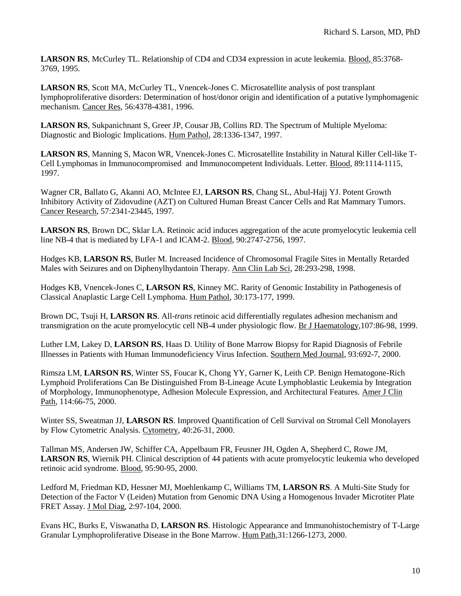**LARSON RS**, McCurley TL. Relationship of CD4 and CD34 expression in acute leukemia. Blood, 85:3768- 3769, 1995.

**LARSON RS**, Scott MA, McCurley TL, Vnencek-Jones C. Microsatellite analysis of post transplant lymphoproliferative disorders: Determination of host/donor origin and identification of a putative lymphomagenic mechanism. Cancer Res, 56:4378-4381, 1996.

**LARSON RS**, Sukpanichnant S, Greer JP, Cousar JB, Collins RD. The Spectrum of Multiple Myeloma: Diagnostic and Biologic Implications. Hum Pathol, 28:1336-1347, 1997.

**LARSON RS**, Manning S, Macon WR, Vnencek-Jones C. Microsatellite Instability in Natural Killer Cell-like T-Cell Lymphomas in Immunocompromised and Immunocompetent Individuals. Letter. Blood, 89:1114-1115, 1997.

Wagner CR, Ballato G, Akanni AO, McIntee EJ, **LARSON RS**, Chang SL, Abul-Hajj YJ. Potent Growth Inhibitory Activity of Zidovudine (AZT) on Cultured Human Breast Cancer Cells and Rat Mammary Tumors. Cancer Research, 57:2341-23445, 1997.

**LARSON RS**, Brown DC, Sklar LA. Retinoic acid induces aggregation of the acute promyelocytic leukemia cell line NB-4 that is mediated by LFA-1 and ICAM-2. Blood, 90:2747-2756, 1997.

Hodges KB, **LARSON RS**, Butler M. Increased Incidence of Chromosomal Fragile Sites in Mentally Retarded Males with Seizures and on Diphenylhydantoin Therapy. Ann Clin Lab Sci, 28:293-298, 1998.

Hodges KB, Vnencek-Jones C, **LARSON RS**, Kinney MC. Rarity of Genomic Instability in Pathogenesis of Classical Anaplastic Large Cell Lymphoma. Hum Pathol, 30:173-177, 1999.

Brown DC, Tsuji H, **LARSON RS**. All-*trans* retinoic acid differentially regulates adhesion mechanism and transmigration on the acute promyelocytic cell NB-4 under physiologic flow. Br J Haematology,107:86-98, 1999.

Luther LM, Lakey D, **LARSON RS**, Haas D. Utility of Bone Marrow Biopsy for Rapid Diagnosis of Febrile Illnesses in Patients with Human Immunodeficiency Virus Infection. Southern Med Journal, 93:692-7, 2000.

Rimsza LM, **LARSON RS**, Winter SS, Foucar K, Chong YY, Garner K, Leith CP. Benign Hematogone-Rich Lymphoid Proliferations Can Be Distinguished From B-Lineage Acute Lymphoblastic Leukemia by Integration of Morphology, Immunophenotype, Adhesion Molecule Expression, and Architectural Features. Amer J Clin Path, 114:66-75, 2000.

Winter SS, Sweatman JJ, **LARSON RS**. Improved Quantification of Cell Survival on Stromal Cell Monolayers by Flow Cytometric Analysis. Cytometry, 40:26-31, 2000.

Tallman MS, Andersen JW, Schiffer CA, Appelbaum FR, Feusner JH, Ogden A, Shepherd C, Rowe JM, **LARSON RS**, Wiernik PH. Clinical description of 44 patients with acute promyelocytic leukemia who developed retinoic acid syndrome. Blood, 95:90-95, 2000.

Ledford M, Friedman KD, Hessner MJ, Moehlenkamp C, Williams TM, **LARSON RS**. A Multi-Site Study for Detection of the Factor V (Leiden) Mutation from Genomic DNA Using a Homogenous Invader Microtiter Plate FRET Assay. J Mol Diag, 2:97-104, 2000.

Evans HC, Burks E, Viswanatha D, **LARSON RS**. Histologic Appearance and Immunohistochemistry of T-Large Granular Lymphoproliferative Disease in the Bone Marrow. Hum Path,31:1266-1273, 2000.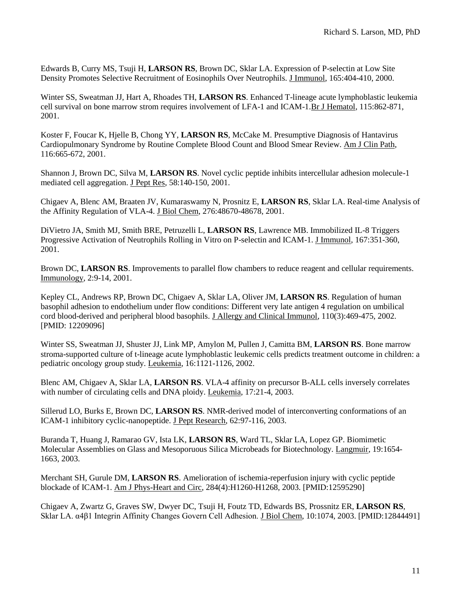Edwards B, Curry MS, Tsuji H, **LARSON RS**, Brown DC, Sklar LA. Expression of P-selectin at Low Site Density Promotes Selective Recruitment of Eosinophils Over Neutrophils. J Immunol, 165:404-410, 2000.

Winter SS, Sweatman JJ, Hart A, Rhoades TH, **LARSON RS**. Enhanced T-lineage acute lymphoblastic leukemia cell survival on bone marrow strom requires involvement of LFA-1 and ICAM-1.Br J Hematol, 115:862-871, 2001.

Koster F, Foucar K, Hjelle B, Chong YY, **LARSON RS**, McCake M. Presumptive Diagnosis of Hantavirus Cardiopulmonary Syndrome by Routine Complete Blood Count and Blood Smear Review. Am J Clin Path, 116:665-672, 2001.

Shannon J, Brown DC, Silva M, **LARSON RS**. Novel cyclic peptide inhibits intercellular adhesion molecule-1 mediated cell aggregation. J Pept Res, 58:140-150, 2001.

Chigaev A, Blenc AM, Braaten JV, Kumaraswamy N, Prosnitz E, **LARSON RS**, Sklar LA. Real-time Analysis of the Affinity Regulation of VLA-4. J Biol Chem, 276:48670-48678, 2001.

DiVietro JA, Smith MJ, Smith BRE, Petruzelli L, **LARSON RS**, Lawrence MB. Immobilized IL-8 Triggers Progressive Activation of Neutrophils Rolling in Vitro on P-selectin and ICAM-1. J Immunol, 167:351-360, 2001.

Brown DC, **LARSON RS**. Improvements to parallel flow chambers to reduce reagent and cellular requirements. Immunology, 2:9-14, 2001.

Kepley CL, Andrews RP, Brown DC, Chigaev A, Sklar LA, Oliver JM, **LARSON RS**. Regulation of human basophil adhesion to endothelium under flow conditions: Different very late antigen 4 regulation on umbilical cord blood-derived and peripheral blood basophils. J Allergy and Clinical Immunol, 110(3):469-475, 2002. [PMID: 12209096]

Winter SS, Sweatman JJ, Shuster JJ, Link MP, Amylon M, Pullen J, Camitta BM, **LARSON RS**. Bone marrow stroma-supported culture of t-lineage acute lymphoblastic leukemic cells predicts treatment outcome in children: a pediatric oncology group study. Leukemia, 16:1121-1126, 2002.

Blenc AM, Chigaev A, Sklar LA, **LARSON RS**. VLA-4 affinity on precursor B-ALL cells inversely correlates with number of circulating cells and DNA ploidy. Leukemia, 17:21-4, 2003.

Sillerud LO, Burks E, Brown DC, **LARSON RS**. NMR-derived model of interconverting conformations of an ICAM-1 inhibitory cyclic-nanopeptide. J Pept Research, 62:97-116, 2003.

Buranda T, Huang J, Ramarao GV, Ista LK, **LARSON RS**, Ward TL, Sklar LA, Lopez GP. Biomimetic Molecular Assemblies on Glass and Mesoporuous Silica Microbeads for Biotechnology. Langmuir, 19:1654- 1663, 2003.

Merchant SH, Gurule DM, **LARSON RS**. Amelioration of ischemia-reperfusion injury with cyclic peptide blockade of ICAM-1. Am J Phys-Heart and Circ, 284(4):H1260-H1268, 2003. [PMID:12595290]

Chigaev A, Zwartz G, Graves SW, Dwyer DC, Tsuji H, Foutz TD, Edwards BS, Prossnitz ER, **LARSON RS**, Sklar LA. α4β1 Integrin Affinity Changes Govern Cell Adhesion. J Biol Chem, 10:1074, 2003. [PMID:12844491]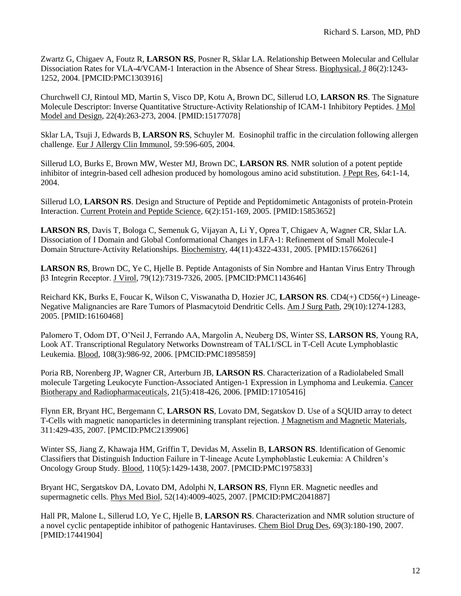Zwartz G, Chigaev A, Foutz R, **LARSON RS**, Posner R, Sklar LA. Relationship Between Molecular and Cellular Dissociation Rates for VLA-4/VCAM-1 Interaction in the Absence of Shear Stress. Biophysical, J 86(2):1243- 1252, 2004. [PMCID:PMC1303916]

Churchwell CJ, Rintoul MD, Martin S, Visco DP, Kotu A, Brown DC, Sillerud LO, **LARSON RS**. The Signature Molecule Descriptor: Inverse Quantitative Structure-Activity Relationship of ICAM-1 Inhibitory Peptides. J Mol Model and Design, 22(4):263-273, 2004. [PMID:15177078]

Sklar LA, Tsuji J, Edwards B, **LARSON RS**, Schuyler M. Eosinophil traffic in the circulation following allergen challenge. Eur J Allergy Clin Immunol, 59:596-605, 2004.

Sillerud LO, Burks E, Brown MW, Wester MJ, Brown DC, **LARSON RS**. NMR solution of a potent peptide inhibitor of integrin-based cell adhesion produced by homologous amino acid substitution. J Pept Res, 64:1-14, 2004.

Sillerud LO, **LARSON RS**. Design and Structure of Peptide and Peptidomimetic Antagonists of protein-Protein Interaction. Current Protein and Peptide Science, 6(2):151-169, 2005. [PMID:15853652]

**LARSON RS**, Davis T, Bologa C, Semenuk G, Vijayan A, Li Y, Oprea T, Chigaev A, Wagner CR, Sklar LA. Dissociation of I Domain and Global Conformational Changes in LFA-1: Refinement of Small Molecule-I Domain Structure-Activity Relationships. Biochemistry, 44(11):4322-4331, 2005. [PMID:15766261]

**LARSON RS**, Brown DC, Ye C, Hjelle B. Peptide Antagonists of Sin Nombre and Hantan Virus Entry Through β3 Integrin Receptor. J Virol, 79(12):7319-7326, 2005. [PMCID:PMC1143646]

Reichard KK, Burks E, Foucar K, Wilson C, Viswanatha D, Hozier JC, **LARSON RS**. CD4(+) CD56(+) Lineage-Negative Malignancies are Rare Tumors of Plasmacytoid Dendritic Cells. Am J Surg Path, 29(10):1274-1283, 2005. [PMID:16160468]

Palomero T, Odom DT, O'Neil J, Ferrando AA, Margolin A, Neuberg DS, Winter SS, **LARSON RS**, Young RA, Look AT. Transcriptional Regulatory Networks Downstream of TAL1/SCL in T-Cell Acute Lymphoblastic Leukemia. Blood, 108(3):986-92, 2006. [PMCID:PMC1895859]

Poria RB, Norenberg JP, Wagner CR, Arterburn JB, **LARSON RS**. Characterization of a Radiolabeled Small molecule Targeting Leukocyte Function-Associated Antigen-1 Expression in Lymphoma and Leukemia. Cancer Biotherapy and Radiopharmaceuticals, 21(5):418-426, 2006. [PMID:17105416]

Flynn ER, Bryant HC, Bergemann C, **LARSON RS**, Lovato DM, Segatskov D. Use of a SQUID array to detect T-Cells with magnetic nanoparticles in determining transplant rejection. J Magnetism and Magnetic Materials, 311:429-435, 2007. [PMCID:PMC2139906]

Winter SS, Jiang Z, Khawaja HM, Griffin T, Devidas M, Asselin B, **LARSON RS**. Identification of Genomic Classifiers that Distinguish Induction Failure in T-lineage Acute Lymphoblastic Leukemia: A Children's Oncology Group Study. Blood, 110(5):1429-1438, 2007. [PMCID:PMC1975833]

Bryant HC, Sergatskov DA, Lovato DM, Adolphi N, **LARSON RS**, Flynn ER. Magnetic needles and supermagnetic cells. Phys Med Biol, 52(14):4009-4025, 2007. [PMCID:PMC2041887]

Hall PR, Malone L, Sillerud LO, Ye C, Hjelle B, **LARSON RS**. Characterization and NMR solution structure of a novel cyclic pentapeptide inhibitor of pathogenic Hantaviruses. Chem Biol Drug Des, 69(3):180-190, 2007. [PMID:17441904]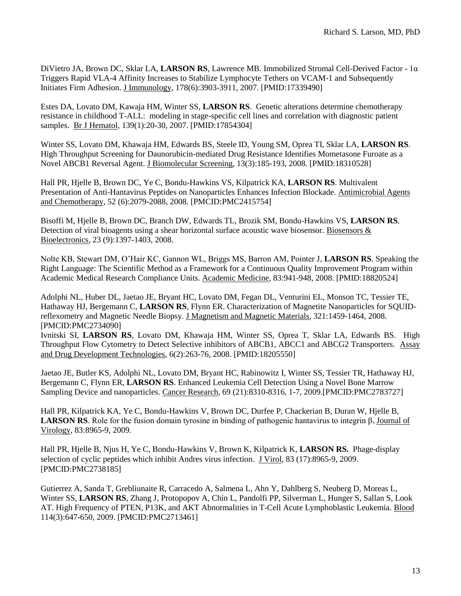DiVietro JA, Brown DC, Sklar LA, **LARSON RS**, Lawrence MB. Immobilized Stromal Cell-Derived Factor - 1α Triggers Rapid VLA-4 Affinity Increases to Stabilize Lymphocyte Tethers on VCAM-1 and Subsequently Initiates Firm Adhesion. J Immunology, 178(6):3903-3911, 2007. [PMID:17339490]

Estes DA, Lovato DM, Kawaja HM, Winter SS, **LARSON RS**. Genetic alterations determine chemotherapy resistance in childhood T-ALL: modeling in stage-specific cell lines and correlation with diagnostic patient samples. Br J Hematol, 139(1):20-30, 2007. [PMID:17854304]

Winter SS, Lovato DM, Khawaja HM, Edwards BS, Steele ID, Young SM, Oprea TI, Sklar LA, **LARSON RS**. High Throughput Screening for Daunorubicin-mediated Drug Resistance Identifies Mometasone Furoate as a Novel ABCB1 Reversal Agent. J Biomolecular Screening, 13(3):185-193, 2008. [PMID:18310528]

Hall PR, Hjelle B, Brown DC, Ye C, Bondu-Hawkins VS, Kilpatrick KA, **LARSON RS**. Multivalent Presentation of Anti-Hantavirus Peptides on Nanoparticles Enhances Infection Blockade. Antimicrobial Agents and Chemotherapy, 52 (6):2079-2088, 2008. [PMCID:PMC2415754]

Bisoffi M, Hjelle B, Brown DC, Branch DW, Edwards TL, Brozik SM, Bondu-Hawkins VS, **LARSON RS**. Detection of viral bioagents using a shear horizontal surface acoustic wave biosensor. Biosensors & Bioelectronics, 23 (9):1397-1403, 2008.

Nolte KB, Stewart DM, O'Hair KC, Gannon WL, Briggs MS, Barron AM, Pointer J, **LARSON RS**. Speaking the Right Language: The Scientific Method as a Framework for a Continuous Quality Improvement Program within Academic Medical Research Compliance Units. Academic Medicine, 83:941-948, 2008. [PMID:18820524]

Adolphi NL, Huber DL, Jaetao JE, Bryant HC, Lovato DM, Fegan DL, Venturini EL, Monson TC, Tessier TE, Hathaway HJ, Bergemann C, **LARSON RS**, Flynn ER. Characterization of Magnetite Nanoparticles for SQUIDreflexometry and Magnetic Needle Biopsy. J Magnetism and Magnetic Materials, 321:1459-1464, 2008. [PMCID:PMC2734090]

Ivnitski SI, **LARSON RS**, Lovato DM, Khawaja HM, Winter SS, Oprea T, Sklar LA, Edwards BS. High Throughput Flow Cytometry to Detect Selective inhibitors of ABCB1, ABCC1 and ABCG2 Transporters. Assay and Drug Development Technologies, 6(2):263-76, 2008. [PMID:18205550]

Jaetao JE, Butler KS, Adolphi NL, Lovato DM, Bryant HC, Rabinowitz I, Winter SS, Tessier TR, Hathaway HJ, Bergemann C, Flynn ER, **LARSON RS**. Enhanced Leukemia Cell Detection Using a Novel Bone Marrow Sampling Device and nanoparticles. Cancer Research, 69 (21):8310-8316, 1-7, 2009.[PMCID:PMC2783727]

Hall PR, Kilpatrick KA, Ye C, Bondu-Hawkins V, Brown DC, Durfee P, Chackerian B, Duran W, Hjelle B, **LARSON RS**. Role for the fusion domain tyrosine in binding of pathogenic hantavirus to integrin  $\beta_3$  Journal of Virology, 83:8965-9, 2009.

Hall PR, Hjelle B, Njus H, Ye C, Bondu-Hawkins V, Brown K, Kilpatrick K, **LARSON RS.** Phage-display selection of cyclic peptides which inhibit Andres virus infection. J Virol, 83 (17):8965-9, 2009. [PMCID:PMC2738185]

Gutierrez A, Sanda T, Grebliunaite R, Carracedo A, Salmena L, Ahn Y, Dahlberg S, Neuberg D, Moreas L, Winter SS, **LARSON RS**, Zhang J, Protopopov A, Chin L, Pandolfi PP, Silverman L, Hunger S, Sallan S, Look AT. High Frequency of PTEN, P13K, and AKT Abnormalities in T-Cell Acute Lymphoblastic Leukemia. Blood 114(3):647-650, 2009. [PMCID:PMC2713461]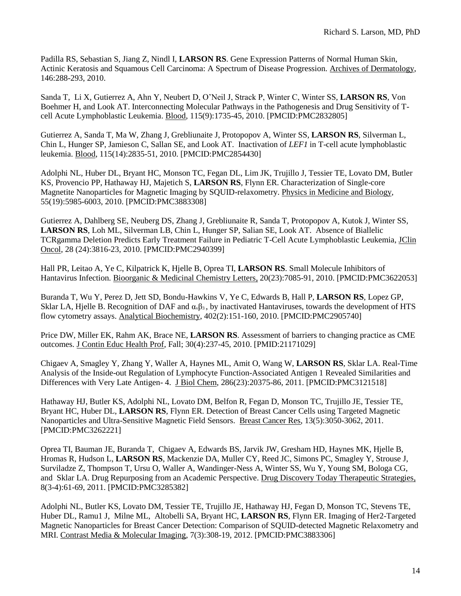Padilla RS, Sebastian S, Jiang Z, Nindl I, **LARSON RS**. Gene Expression Patterns of Normal Human Skin, Actinic Keratosis and Squamous Cell Carcinoma: A Spectrum of Disease Progression. Archives of Dermatology, 146:288-293, 2010.

Sanda T, Li X, Gutierrez A, Ahn Y, Neubert D, O'Neil J, Strack P, Winter C, Winter SS, **LARSON RS**, Von Boehmer H, and Look AT. Interconnecting Molecular Pathways in the Pathogenesis and Drug Sensitivity of Tcell Acute Lymphoblastic Leukemia. Blood, 115(9):1735-45, 2010. [PMCID:PMC2832805]

Gutierrez A, Sanda T, Ma W, Zhang J, Grebliunaite J, Protopopov A, Winter SS, **LARSON RS**, Silverman L, Chin L, Hunger SP, Jamieson C, Sallan SE, and Look AT. Inactivation of *LEF1* in T-cell acute lymphoblastic leukemia. Blood, 115(14):2835-51, 2010. [PMCID:PMC2854430]

Adolphi NL, Huber DL, Bryant HC, Monson TC, Fegan DL, Lim JK, Trujillo J, Tessier TE, Lovato DM, Butler KS, Provencio PP, Hathaway HJ, Majetich S, **LARSON RS**, Flynn ER. Characterization of Single-core Magnetite Nanoparticles for Magnetic Imaging by SQUID-relaxometry. Physics in Medicine and Biology, 55(19):5985-6003, 2010. [PMCID:PMC3883308]

Gutierrez A, Dahlberg SE, Neuberg DS, Zhang J, Grebliunaite R, Sanda T, Protopopov A, Kutok J, Winter SS, **LARSON RS**, Loh ML, Silverman LB, Chin L, Hunger SP, Salian SE, Look AT. Absence of Biallelic TCRgamma Deletion Predicts Early Treatment Failure in Pediatric T-Cell Acute Lymphoblastic Leukemia, JClin Oncol, 28 (24):3816-23, 2010. [PMCID:PMC2940399]

Hall PR, Leitao A, Ye C, Kilpatrick K, Hjelle B, Oprea TI, **LARSON RS**. Small Molecule Inhibitors of Hantavirus Infection. Bioorganic & Medicinal Chemistry Letters, 20(23):7085-91, 2010. [PMCID:PMC3622053]

Buranda T, Wu Y, Perez D, Jett SD, Bondu-Hawkins V, Ye C, Edwards B, Hall P, **LARSON RS**, Lopez GP, Sklar LA, Hjelle B. Recognition of DAF and  $\alpha_{\nu}\beta_3$ , by inactivated Hantaviruses, towards the development of HTS flow cytometry assays. Analytical Biochemistry, 402(2):151-160, 2010. [PMCID:PMC2905740]

Price DW, Miller EK, Rahm AK, Brace NE, **LARSON RS**[. Assessment of barriers to changing practice as CME](http://www.ncbi.nlm.nih.gov/pubmed/21171029)  [outcomes.](http://www.ncbi.nlm.nih.gov/pubmed/21171029) J Contin Educ Health Prof, Fall; 30(4):237-45, 2010. [PMID:21171029]

Chigaev A, Smagley Y, Zhang Y, Waller A, Haynes ML, Amit O, Wang W, **LARSON RS**, Sklar LA. Real-Time Analysis of the Inside-out Regulation of Lymphocyte Function-Associated Antigen 1 Revealed Similarities and Differences with Very Late Antigen- 4. J Biol Chem, 286(23):20375-86, 2011. [PMCID:PMC3121518]

Hathaway HJ, Butler KS, Adolphi NL, Lovato DM, Belfon R, Fegan D, Monson TC, Trujillo JE, Tessier TE, Bryant HC, Huber DL, **LARSON RS**, Flynn ER. Detection of Breast Cancer Cells using Targeted Magnetic Nanoparticles and Ultra-Sensitive Magnetic Field Sensors. Breast Cancer Res, 13(5):3050-3062, 2011. [PMCID:PMC3262221]

Oprea TI, Bauman JE, Buranda T, Chigaev A, Edwards BS, Jarvik JW, Gresham HD, Haynes MK, Hjelle B, Hromas R, Hudson L, **LARSON RS**, Mackenzie DA, Muller CY, Reed JC, Simons PC, Smagley Y, Strouse J, Surviladze Z, Thompson T, Ursu O, Waller A, Wandinger-Ness A, Winter SS, Wu Y, Young SM, Bologa CG, and Sklar LA. Drug Repurposing from an Academic Perspective. Drug Discovery Today Therapeutic Strategies, 8(3-4):61-69, 2011. [PMCID:PMC3285382]

Adolphi NL, Butler KS, Lovato DM, Tessier TE, Trujillo JE, Hathaway HJ, Fegan D, Monson TC, Stevens TE, Huber DL, Ramu1 J, Milne ML, Altobelli SA, Bryant HC, **LARSON RS**, Flynn ER. Imaging of Her2-Targeted Magnetic Nanoparticles for Breast Cancer Detection: Comparison of SQUID-detected Magnetic Relaxometry and MRI. Contrast Media & Molecular Imaging, 7(3):308-19, 2012. [PMCID:PMC3883306]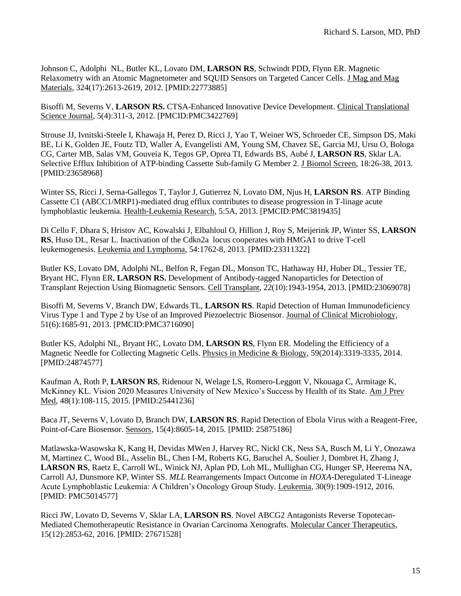Johnson C, Adolphi NL, Butler KL, Lovato DM, **LARSON RS**, Schwindt PDD, Flynn ER. Magnetic Relaxometry with an Atomic Magnetometer and SQUID Sensors on Targeted Cancer Cells. J Mag and Mag Materials, 324(17):2613-2619, 2012. [PMID:22773885]

Bisoffi M, Severns V, **LARSON RS.** CTSA-Enhanced Innovative Device Development. Clinical Translational Science Journal, 5(4):311-3, 2012. [PMCID:PMC3422769]

Strouse JJ, Ivnitski-Steele I, Khawaja H, Perez D, Ricci J, Yao T, Weiner WS, Schroeder CE, Simpson DS, Maki BE, Li K, Golden JE, Foutz TD, Waller A, Evangelisti AM, Young SM, Chavez SE, Garcia MJ, Ursu O, Bologa CG, Carter MB, Salas VM, Gouveia K, Tegos GP, Oprea TI, Edwards BS, Aubé J, **LARSON RS**, Sklar LA. Selective Efflux Inhibition of ATP-binding Cassette Sub-family G Member 2. J Biomol Screen, 18:26-38, 2013. [PMID:23658968]

Winter SS, Ricci J, Serna-Gallegos T, Taylor J, Gutierrez N, Lovato DM, Njus H, **LARSON RS**. ATP Binding Cassette C1 (ABCC1/MRP1)-mediated drug efflux contributes to disease progression in T-linage acute lymphoblastic leukemia. Health-Leukemia Research, 5:5A, 2013. [PMCID:PMC3819435]

Di Cello F, Dhara S, Hristov AC, Kowalski J, Elbahloul O, Hillion J, Roy S, Meijerink JP, Winter SS, **LARSON RS**, Huso DL, Resar L. Inactivation of the Cdkn2a locus cooperates with HMGA1 to drive T-cell leukemogenesis. Leukemia and Lymphoma, 54:1762-8, 2013. [PMID:23311322]

Butler KS, Lovato DM, Adolphi NL, Belfon R, Fegan DL, Monson TC, Hathaway HJ, Huber DL, Tessier TE, Bryant HC, Flynn ER, **LARSON RS.** Development of Antibody-tagged Nanoparticles for Detection of Transplant Rejection Using Biomagnetic Sensors. Cell Transplant, 22(10):1943-1954, 2013. [PMID:23069078]

Bisoffi M, Severns V, Branch DW, Edwards TL, **LARSON RS**. Rapid Detection of Human Immunodeficiency Virus Type 1 and Type 2 by Use of an Improved Piezoelectric Biosensor. Journal of Clinical Microbiology, 51(6):1685-91, 2013. [PMCID:PMC3716090]

Butler KS, Adolphi NL, Bryant HC, Lovato DM, **LARSON RS**, Flynn ER. Modeling the Efficiency of a Magnetic Needle for Collecting Magnetic Cells. Physics in Medicine & Biology, 59(2014):3319-3335, 2014. [PMID:24874577]

Kaufman A, Roth P, **LARSON RS**, Ridenour N, Welage LS, Romero-Leggott V, Nkouaga C, Armitage K, McKinney KL. Vision 2020 Measures University of New Mexico's Success by Health of its State. Am J Prev Med, 48(1):108-115, 2015. [PMID:25441236]

Baca JT, Severns V, Lovato D, Branch DW, **LARSON RS**. Rapid Detection of Ebola Virus with a Reagent-Free, Point-of-Care Biosensor. Sensors, 15(4):8605-14, 2015. [PMID: 25875186]

Matlawska-Wasowska K, Kang H, Devidas MWen J, Harvey RC, Nickl CK, Ness SA, Rusch M, Li Y, Onozawa M, Martinez C, Wood BL, Asselin BL, Chen I-M, Roberts KG, Baruchel A, Soulier J, Dombret H, Zhang J, **LARSON RS**, Raetz E, Carroll WL, Winick NJ, Aplan PD, Loh ML, Mullighan CG, Hunger SP, Heerema NA, Carroll AJ, Dunsmore KP, Winter SS. *MLL* Rearrangements Impact Outcome in *HOXA*-Deregulated T-Lineage Acute Lymphoblastic Leukemia: A Children's Oncology Group Study. Leukemia, 30(9):1909-1912, 2016. [PMID: PMC5014577]

Ricci JW, Lovato D, Severns V, Sklar LA, **LARSON RS**. Novel ABCG2 Antagonists Reverse Topotecan-Mediated Chemotherapeutic Resistance in Ovarian Carcinoma Xenografts. Molecular Cancer Therapeutics, 15(12):2853-62, 2016. [PMID: 27671528]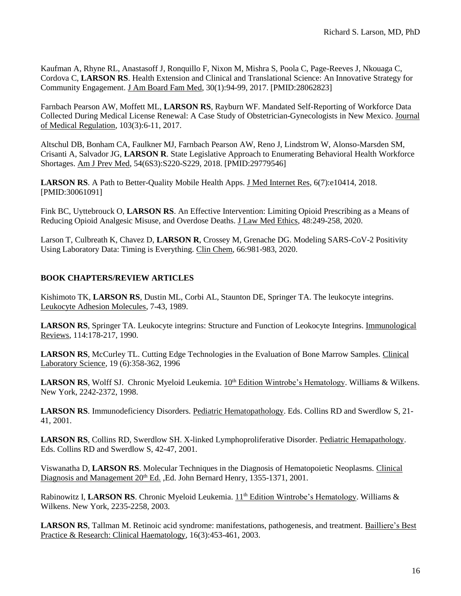Kaufman A, Rhyne RL, Anastasoff J, Ronquillo F, Nixon M, Mishra S, Poola C, Page-Reeves J, Nkouaga C, Cordova C, **LARSON RS**. Health Extension and Clinical and Translational Science: An Innovative Strategy for Community Engagement. J Am Board Fam Med, 30(1):94-99, 2017. [PMID:28062823]

Farnbach Pearson AW, Moffett ML, **LARSON RS**, Rayburn WF. Mandated Self-Reporting of Workforce Data Collected During Medical License Renewal: A Case Study of Obstetrician-Gynecologists in New Mexico. Journal of Medical Regulation, 103(3):6-11, 2017.

Altschul DB, Bonham CA, Faulkner MJ, Farnbach Pearson AW, Reno J, Lindstrom W, Alonso-Marsden SM, Crisanti A, Salvador JG, **LARSON R**. State Legislative Approach to Enumerating Behavioral Health Workforce Shortages. Am J Prev Med, 54(6S3):S220-S229, 2018. [PMID:29779546]

**LARSON RS**. A Path to Better-Quality Mobile Health Apps. J Med Internet Res, 6(7):e10414, 2018. [PMID:30061091]

Fink BC, Uyttebrouck O, **LARSON RS**. An Effective Intervention: Limiting Opioid Prescribing as a Means of Reducing Opioid Analgesic Misuse, and Overdose Deaths. J Law Med Ethics, 48:249-258, 2020.

Larson T, Culbreath K, Chavez D, **LARSON R**, Crossey M, Grenache DG. Modeling SARS-CoV-2 Positivity Using Laboratory Data: Timing is Everything. Clin Chem, 66:981-983, 2020.

### **BOOK CHAPTERS/REVIEW ARTICLES**

Kishimoto TK, **LARSON RS**, Dustin ML, Corbi AL, Staunton DE, Springer TA. The leukocyte integrins. Leukocyte Adhesion Molecules, 7-43, 1989.

**LARSON RS**, Springer TA. Leukocyte integrins: Structure and Function of Leokocyte Integrins. Immunological Reviews, 114:178-217, 1990.

**LARSON RS**, McCurley TL. Cutting Edge Technologies in the Evaluation of Bone Marrow Samples. Clinical Laboratory Science, 19 (6):358-362, 1996

**LARSON RS**, Wolff SJ. Chronic Myeloid Leukemia. 10<sup>th</sup> Edition Wintrobe's Hematology. Williams & Wilkens. New York, 2242-2372, 1998.

**LARSON RS**. Immunodeficiency Disorders. Pediatric Hematopathology. Eds. Collins RD and Swerdlow S, 21- 41, 2001.

**LARSON RS**, Collins RD, Swerdlow SH. X-linked Lymphoproliferative Disorder. Pediatric Hemapathology. Eds. Collins RD and Swerdlow S, 42-47, 2001.

Viswanatha D, **LARSON RS**. Molecular Techniques in the Diagnosis of Hematopoietic Neoplasms. Clinical Diagnosis and Management 20<sup>th</sup> Ed., Ed. John Bernard Henry, 1355-1371, 2001.

Rabinowitz I, LARSON RS. Chronic Myeloid Leukemia. 11<sup>th</sup> Edition Wintrobe's Hematology. Williams & Wilkens. New York, 2235-2258, 2003.

LARSON RS, Tallman M. Retinoic acid syndrome: manifestations, pathogenesis, and treatment. Bailliere's Best Practice & Research: Clinical Haematology, 16(3):453-461, 2003.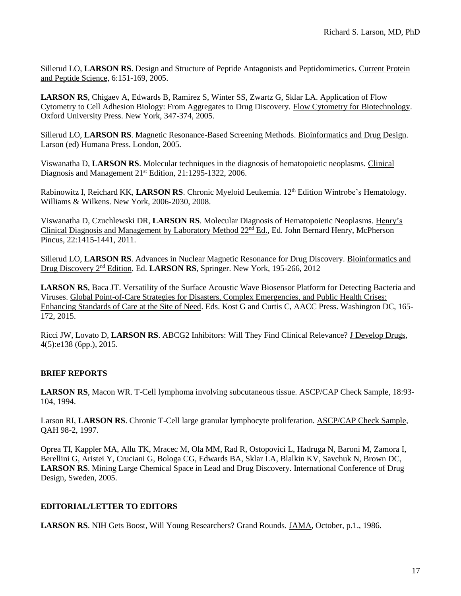Sillerud LO, **LARSON RS**. Design and Structure of Peptide Antagonists and Peptidomimetics. Current Protein and Peptide Science, 6:151-169, 2005.

**LARSON RS**, Chigaev A, Edwards B, Ramirez S, Winter SS, Zwartz G, Sklar LA. Application of Flow Cytometry to Cell Adhesion Biology: From Aggregates to Drug Discovery. Flow Cytometry for Biotechnology. Oxford University Press. New York, 347-374, 2005.

Sillerud LO, **LARSON RS**. Magnetic Resonance-Based Screening Methods. Bioinformatics and Drug Design. Larson (ed) Humana Press. London, 2005.

Viswanatha D, **LARSON RS**. Molecular techniques in the diagnosis of hematopoietic neoplasms. Clinical Diagnosis and Management 21<sup>st</sup> Edition, 21:1295-1322, 2006.

Rabinowitz I, Reichard KK, LARSON RS. Chronic Myeloid Leukemia. 12<sup>th</sup> Edition Wintrobe's Hematology. Williams & Wilkens. New York, 2006-2030, 2008.

Viswanatha D, Czuchlewski DR, **LARSON RS**. Molecular Diagnosis of Hematopoietic Neoplasms. Henry's Clinical Diagnosis and Management by Laboratory Method 22<sup>nd</sup> Ed., Ed. John Bernard Henry, McPherson Pincus, 22:1415-1441, 2011.

Sillerud LO, **LARSON RS**. Advances in Nuclear Magnetic Resonance for Drug Discovery. Bioinformatics and Drug Discovery 2nd Edition. Ed. **LARSON RS**, Springer. New York, 195-266, 2012

**LARSON RS**, Baca JT. Versatility of the Surface Acoustic Wave Biosensor Platform for Detecting Bacteria and Viruses. Global Point-of-Care Strategies for Disasters, Complex Emergencies, and Public Health Crises: Enhancing Standards of Care at the Site of Need. Eds. Kost G and Curtis C, AACC Press. Washington DC, 165- 172, 2015.

Ricci JW, Lovato D, **LARSON RS**. ABCG2 Inhibitors: Will They Find Clinical Relevance? J Develop Drugs, 4(5):e138 (6pp.), 2015.

## **BRIEF REPORTS**

**LARSON RS**, Macon WR. T-Cell lymphoma involving subcutaneous tissue. ASCP/CAP Check Sample, 18:93- 104, 1994.

Larson RI, **LARSON RS**. Chronic T-Cell large granular lymphocyte proliferation. ASCP/CAP Check Sample, QAH 98-2, 1997.

Oprea TI, Kappler MA, Allu TK, Mracec M, Ola MM, Rad R, Ostopovici L, Hadruga N, Baroni M, Zamora I, Berellini G, Aristei Y, Cruciani G, Bologa CG, Edwards BA, Sklar LA, Blalkin KV, Savchuk N, Brown DC, **LARSON RS**. Mining Large Chemical Space in Lead and Drug Discovery. International Conference of Drug Design, Sweden, 2005.

## **EDITORIAL/LETTER TO EDITORS**

**LARSON RS**. NIH Gets Boost, Will Young Researchers? Grand Rounds. JAMA, October, p.1., 1986.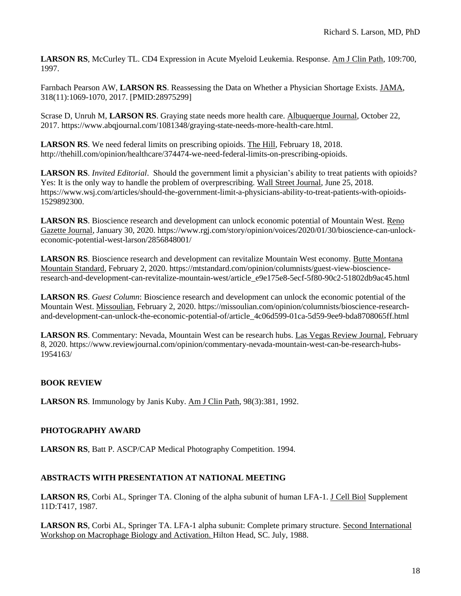**LARSON RS**, McCurley TL. CD4 Expression in Acute Myeloid Leukemia. Response. Am J Clin Path, 109:700, 1997.

Farnbach Pearson AW, **LARSON RS**. Reassessing the Data on Whether a Physician Shortage Exists. JAMA, 318(11):1069-1070, 2017. [PMID:28975299]

Scrase D, Unruh M, **LARSON RS**. Graying state needs more health care. Albuquerque Journal, October 22, 2017. https://www.abqjournal.com/1081348/graying-state-needs-more-health-care.html.

**LARSON RS**. We need federal limits on prescribing opioids. The Hill, February 18, 2018. http://thehill.com/opinion/healthcare/374474-we-need-federal-limits-on-prescribing-opioids.

**LARSON RS**. *Invited Editorial*. Should the government limit a physician's ability to treat patients with opioids? Yes: It is the only way to handle the problem of overprescribing. Wall Street Journal, June 25, 2018. https://www.wsj.com/articles/should-the-government-limit-a-physicians-ability-to-treat-patients-with-opioids-1529892300.

**LARSON RS**. Bioscience research and development can unlock economic potential of Mountain West. Reno Gazette Journal, January 30, 2020. https://www.rgj.com/story/opinion/voices/2020/01/30/bioscience-can-unlockeconomic-potential-west-larson/2856848001/

**LARSON RS**. Bioscience research and development can revitalize Mountain West economy. Butte Montana Mountain Standard, February 2, 2020. https://mtstandard.com/opinion/columnists/guest-view-bioscienceresearch-and-development-can-revitalize-mountain-west/article\_e9e175e8-5ecf-5f80-90c2-51802db9ac45.html

**LARSON RS**. *Guest Column*: Bioscience research and development can unlock the economic potential of the Mountain West. Missoulian, February 2, 2020. https://missoulian.com/opinion/columnists/bioscience-researchand-development-can-unlock-the-economic-potential-of/article\_4c06d599-01ca-5d59-9ee9-bda8708065ff.html

**LARSON RS**. Commentary: Nevada, Mountain West can be research hubs. Las Vegas Review Journal, February 8, 2020. https://www.reviewjournal.com/opinion/commentary-nevada-mountain-west-can-be-research-hubs-1954163/

# **BOOK REVIEW**

**LARSON RS**. Immunology by Janis Kuby. Am J Clin Path, 98(3):381, 1992.

# **PHOTOGRAPHY AWARD**

LARSON RS, Batt P. ASCP/CAP Medical Photography Competition. 1994.

# **ABSTRACTS WITH PRESENTATION AT NATIONAL MEETING**

**LARSON RS**, Corbi AL, Springer TA. Cloning of the alpha subunit of human LFA-1. J Cell Biol Supplement 11D:T417, 1987.

**LARSON RS**, Corbi AL, Springer TA. LFA-1 alpha subunit: Complete primary structure. Second International Workshop on Macrophage Biology and Activation. Hilton Head, SC. July, 1988.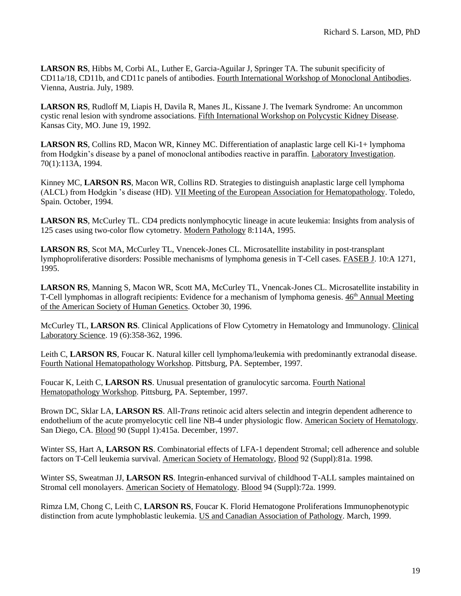**LARSON RS**, Hibbs M, Corbi AL, Luther E, Garcia-Aguilar J, Springer TA. The subunit specificity of CD11a/18, CD11b, and CD11c panels of antibodies. Fourth International Workshop of Monoclonal Antibodies. Vienna, Austria. July, 1989.

**LARSON RS**, Rudloff M, Liapis H, Davila R, Manes JL, Kissane J. The Ivemark Syndrome: An uncommon cystic renal lesion with syndrome associations. Fifth International Workshop on Polycystic Kidney Disease. Kansas City, MO. June 19, 1992.

**LARSON RS**, Collins RD, Macon WR, Kinney MC. Differentiation of anaplastic large cell Ki-1+ lymphoma from Hodgkin's disease by a panel of monoclonal antibodies reactive in paraffin. Laboratory Investigation. 70(1):113A, 1994.

Kinney MC, **LARSON RS**, Macon WR, Collins RD. Strategies to distinguish anaplastic large cell lymphoma (ALCL) from Hodgkin 's disease (HD). VII Meeting of the European Association for Hematopathology. Toledo, Spain. October, 1994.

**LARSON RS**, McCurley TL. CD4 predicts nonlymphocytic lineage in acute leukemia: Insights from analysis of 125 cases using two-color flow cytometry. Modern Pathology 8:114A, 1995.

**LARSON RS**, Scot MA, McCurley TL, Vnencek-Jones CL. Microsatellite instability in post-transplant lymphoproliferative disorders: Possible mechanisms of lymphoma genesis in T-Cell cases. FASEB J. 10:A 1271, 1995.

**LARSON RS**, Manning S, Macon WR, Scott MA, McCurley TL, Vnencak-Jones CL. Microsatellite instability in T-Cell lymphomas in allograft recipients: Evidence for a mechanism of lymphoma genesis. 46<sup>th</sup> Annual Meeting of the American Society of Human Genetics. October 30, 1996.

McCurley TL, **LARSON RS**. Clinical Applications of Flow Cytometry in Hematology and Immunology. Clinical Laboratory Science. 19 (6):358-362, 1996.

Leith C, **LARSON RS**, Foucar K. Natural killer cell lymphoma/leukemia with predominantly extranodal disease. Fourth National Hematopathology Workshop. Pittsburg, PA. September, 1997.

Foucar K, Leith C, **LARSON RS**. Unusual presentation of granulocytic sarcoma. Fourth National Hematopathology Workshop. Pittsburg, PA. September, 1997.

Brown DC, Sklar LA, **LARSON RS**. All-*Trans* retinoic acid alters selectin and integrin dependent adherence to endothelium of the acute promyelocytic cell line NB-4 under physiologic flow. American Society of Hematology. San Diego, CA. Blood 90 (Suppl 1):415a. December, 1997.

Winter SS, Hart A, **LARSON RS**. Combinatorial effects of LFA-1 dependent Stromal; cell adherence and soluble factors on T-Cell leukemia survival. American Society of Hematology, Blood 92 (Suppl):81a. 1998.

Winter SS, Sweatman JJ, **LARSON RS**. Integrin-enhanced survival of childhood T-ALL samples maintained on Stromal cell monolayers. American Society of Hematology. Blood 94 (Suppl):72a. 1999.

Rimza LM, Chong C, Leith C, **LARSON RS**, Foucar K. Florid Hematogone Proliferations Immunophenotypic distinction from acute lymphoblastic leukemia. US and Canadian Association of Pathology. March, 1999.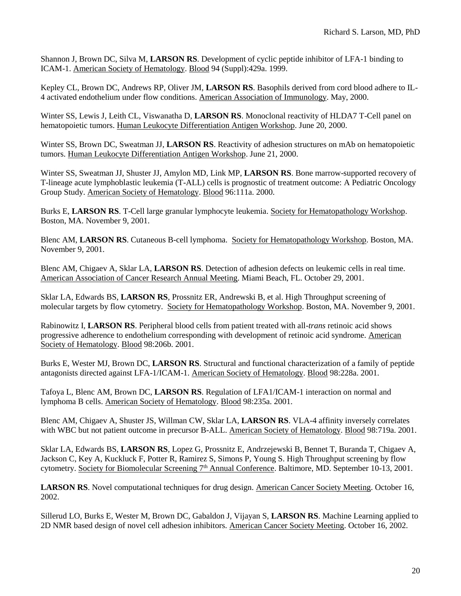Shannon J, Brown DC, Silva M, **LARSON RS**. Development of cyclic peptide inhibitor of LFA-1 binding to ICAM-1. American Society of Hematology. Blood 94 (Suppl):429a. 1999.

Kepley CL, Brown DC, Andrews RP, Oliver JM, **LARSON RS**. Basophils derived from cord blood adhere to IL-4 activated endothelium under flow conditions. American Association of Immunology. May, 2000.

Winter SS, Lewis J, Leith CL, Viswanatha D, **LARSON RS**. Monoclonal reactivity of HLDA7 T-Cell panel on hematopoietic tumors. Human Leukocyte Differentiation Antigen Workshop. June 20, 2000.

Winter SS, Brown DC, Sweatman JJ, **LARSON RS**. Reactivity of adhesion structures on mAb on hematopoietic tumors. Human Leukocyte Differentiation Antigen Workshop. June 21, 2000.

Winter SS, Sweatman JJ, Shuster JJ, Amylon MD, Link MP, **LARSON RS**. Bone marrow-supported recovery of T-lineage acute lymphoblastic leukemia (T-ALL) cells is prognostic of treatment outcome: A Pediatric Oncology Group Study. American Society of Hematology. Blood 96:111a. 2000.

Burks E, **LARSON RS**. T-Cell large granular lymphocyte leukemia. Society for Hematopathology Workshop. Boston, MA. November 9, 2001.

Blenc AM, **LARSON RS**. Cutaneous B-cell lymphoma. Society for Hematopathology Workshop. Boston, MA. November 9, 2001.

Blenc AM, Chigaev A, Sklar LA, **LARSON RS**. Detection of adhesion defects on leukemic cells in real time. American Association of Cancer Research Annual Meeting. Miami Beach, FL. October 29, 2001.

Sklar LA, Edwards BS, **LARSON RS**, Prossnitz ER, Andrewski B, et al. High Throughput screening of molecular targets by flow cytometry. Society for Hematopathology Workshop. Boston, MA. November 9, 2001.

Rabinowitz I, **LARSON RS**. Peripheral blood cells from patient treated with all-*trans* retinoic acid shows progressive adherence to endothelium corresponding with development of retinoic acid syndrome. American Society of Hematology. Blood 98:206b. 2001.

Burks E, Wester MJ, Brown DC, **LARSON RS**. Structural and functional characterization of a family of peptide antagonists directed against LFA-1/ICAM-1. American Society of Hematology. Blood 98:228a. 2001.

Tafoya L, Blenc AM, Brown DC, **LARSON RS**. Regulation of LFA1/ICAM-1 interaction on normal and lymphoma B cells. American Society of Hematology. Blood 98:235a. 2001.

Blenc AM, Chigaev A, Shuster JS, Willman CW, Sklar LA, **LARSON RS**. VLA-4 affinity inversely correlates with WBC but not patient outcome in precursor B-ALL. American Society of Hematology. Blood 98:719a. 2001.

Sklar LA, Edwards BS, **LARSON RS**, Lopez G, Prossnitz E, Andrzejewski B, Bennet T, Buranda T, Chigaev A, Jackson C, Key A, Kuckluck F, Potter R, Ramirez S, Simons P, Young S. High Throughput screening by flow cytometry. Society for Biomolecular Screening 7<sup>th</sup> Annual Conference. Baltimore, MD. September 10-13, 2001.

**LARSON RS**. Novel computational techniques for drug design. American Cancer Society Meeting. October 16, 2002.

Sillerud LO, Burks E, Wester M, Brown DC, Gabaldon J, Vijayan S, **LARSON RS**. Machine Learning applied to 2D NMR based design of novel cell adhesion inhibitors. American Cancer Society Meeting. October 16, 2002.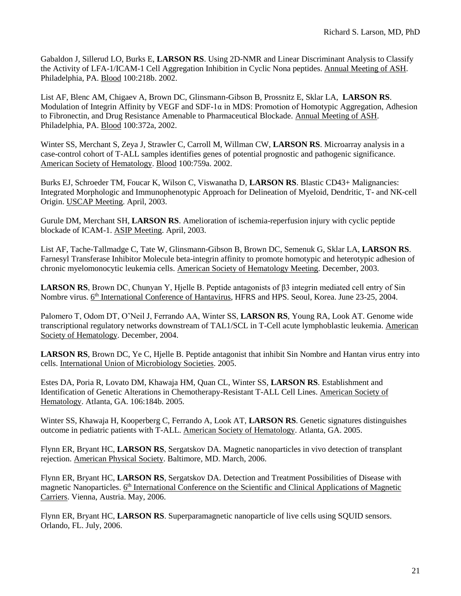Gabaldon J, Sillerud LO, Burks E, **LARSON RS**. Using 2D-NMR and Linear Discriminant Analysis to Classify the Activity of LFA-1/ICAM-1 Cell Aggregation Inhibition in Cyclic Nona peptides. Annual Meeting of ASH. Philadelphia, PA. Blood 100:218b. 2002.

List AF, Blenc AM, Chigaev A, Brown DC, Glinsmann-Gibson B, Prossnitz E, Sklar LA, **LARSON RS**. Modulation of Integrin Affinity by VEGF and SDF-1 $\alpha$  in MDS: Promotion of Homotypic Aggregation, Adhesion to Fibronectin, and Drug Resistance Amenable to Pharmaceutical Blockade. Annual Meeting of ASH. Philadelphia, PA. Blood 100:372a, 2002.

Winter SS, Merchant S, Zeya J, Strawler C, Carroll M, Willman CW, **LARSON RS**. Microarray analysis in a case-control cohort of T-ALL samples identifies genes of potential prognostic and pathogenic significance. American Society of Hematology. Blood 100:759a. 2002.

Burks EJ, Schroeder TM, Foucar K, Wilson C, Viswanatha D, **LARSON RS**. Blastic CD43+ Malignancies: Integrated Morphologic and Immunophenotypic Approach for Delineation of Myeloid, Dendritic, T- and NK-cell Origin. USCAP Meeting. April, 2003.

Gurule DM, Merchant SH, **LARSON RS**. Amelioration of ischemia-reperfusion injury with cyclic peptide blockade of ICAM-1. ASIP Meeting. April, 2003.

List AF, Tache-Tallmadge C, Tate W, Glinsmann-Gibson B, Brown DC, Semenuk G, Sklar LA, **LARSON RS**. Farnesyl Transferase Inhibitor Molecule beta-integrin affinity to promote homotypic and heterotypic adhesion of chronic myelomonocytic leukemia cells. American Society of Hematology Meeting. December, 2003.

**LARSON RS**, Brown DC, Chunyan Y, Hjelle B. Peptide antagonists of β3 integrin mediated cell entry of Sin Nombre virus. 6<sup>th</sup> International Conference of Hantavirus, HFRS and HPS. Seoul, Korea. June 23-25, 2004.

Palomero T, Odom DT, O'Neil J, Ferrando AA, Winter SS, **LARSON RS**, Young RA, Look AT. Genome wide transcriptional regulatory networks downstream of TAL1/SCL in T-Cell acute lymphoblastic leukemia. American Society of Hematology. December, 2004.

**LARSON RS**, Brown DC, Ye C, Hjelle B. Peptide antagonist that inhibit Sin Nombre and Hantan virus entry into cells. International Union of Microbiology Societies. 2005.

Estes DA, Poria R, Lovato DM, Khawaja HM, Quan CL, Winter SS, **LARSON RS**. Establishment and Identification of Genetic Alterations in Chemotherapy-Resistant T-ALL Cell Lines. American Society of Hematology. Atlanta, GA. 106:184b. 2005.

Winter SS, Khawaja H, Kooperberg C, Ferrando A, Look AT, **LARSON RS**. Genetic signatures distinguishes outcome in pediatric patients with T-ALL. American Society of Hematology. Atlanta, GA. 2005.

Flynn ER, Bryant HC, **LARSON RS**, Sergatskov DA. Magnetic nanoparticles in vivo detection of transplant rejection. American Physical Society. Baltimore, MD. March, 2006.

Flynn ER, Bryant HC, **LARSON RS**, Sergatskov DA. Detection and Treatment Possibilities of Disease with magnetic Nanoparticles. 6<sup>th</sup> International Conference on the Scientific and Clinical Applications of Magnetic Carriers. Vienna, Austria. May, 2006.

Flynn ER, Bryant HC, **LARSON RS**. Superparamagnetic nanoparticle of live cells using SQUID sensors. Orlando, FL. July, 2006.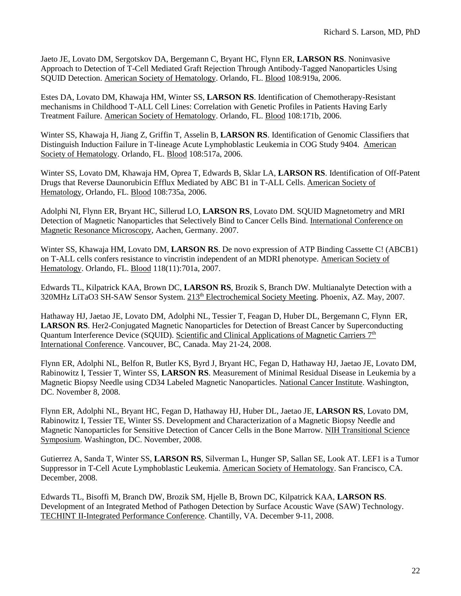Jaeto JE, Lovato DM, Sergotskov DA, Bergemann C, Bryant HC, Flynn ER, **LARSON RS**. Noninvasive Approach to Detection of T-Cell Mediated Graft Rejection Through Antibody-Tagged Nanoparticles Using SQUID Detection. American Society of Hematology. Orlando, FL. Blood 108:919a, 2006.

Estes DA, Lovato DM, Khawaja HM, Winter SS, **LARSON RS**. Identification of Chemotherapy-Resistant mechanisms in Childhood T-ALL Cell Lines: Correlation with Genetic Profiles in Patients Having Early Treatment Failure. American Society of Hematology. Orlando, FL. Blood 108:171b, 2006.

Winter SS, Khawaja H, Jiang Z, Griffin T, Asselin B, **LARSON RS**. Identification of Genomic Classifiers that Distinguish Induction Failure in T-lineage Acute Lymphoblastic Leukemia in COG Study 9404. American Society of Hematology. Orlando, FL. Blood 108:517a, 2006.

Winter SS, Lovato DM, Khawaja HM, Oprea T, Edwards B, Sklar LA, **LARSON RS**. Identification of Off-Patent Drugs that Reverse Daunorubicin Efflux Mediated by ABC B1 in T-ALL Cells. American Society of Hematology, Orlando, FL. Blood 108:735a, 2006.

Adolphi NI, Flynn ER, Bryant HC, Sillerud LO, **LARSON RS**, Lovato DM. SQUID Magnetometry and MRI Detection of Magnetic Nanoparticles that Selectively Bind to Cancer Cells Bind. International Conference on Magnetic Resonance Microscopy, Aachen, Germany. 2007.

Winter SS, Khawaja HM, Lovato DM, **LARSON RS**. De novo expression of ATP Binding Cassette C! (ABCB1) on T-ALL cells confers resistance to vincristin independent of an MDRI phenotype. American Society of Hematology. Orlando, FL. Blood 118(11):701a, 2007.

Edwards TL, Kilpatrick KAA, Brown DC, **LARSON RS**, Brozik S, Branch DW. Multianalyte Detection with a 320MHz LiTaO3 SH-SAW Sensor System. 213<sup>th</sup> Electrochemical Society Meeting. Phoenix, AZ. May, 2007.

Hathaway HJ, Jaetao JE, Lovato DM, Adolphi NL, Tessier T, Feagan D, Huber DL, Bergemann C, Flynn ER, **LARSON RS**. Her2-Conjugated Magnetic Nanoparticles for Detection of Breast Cancer by Superconducting Quantum Interference Device (SQUID). Scientific and Clinical Applications of Magnetic Carriers 7<sup>th</sup> International Conference. Vancouver, BC, Canada. May 21-24, 2008.

Flynn ER, Adolphi NL, Belfon R, Butler KS, Byrd J, Bryant HC, Fegan D, Hathaway HJ, Jaetao JE, Lovato DM, Rabinowitz I, Tessier T, Winter SS, **LARSON RS**. Measurement of Minimal Residual Disease in Leukemia by a Magnetic Biopsy Needle using CD34 Labeled Magnetic Nanoparticles. National Cancer Institute. Washington, DC. November 8, 2008.

Flynn ER, Adolphi NL, Bryant HC, Fegan D, Hathaway HJ, Huber DL, Jaetao JE, **LARSON RS**, Lovato DM, Rabinowitz I, Tessier TE, Winter SS. Development and Characterization of a Magnetic Biopsy Needle and Magnetic Nanoparticles for Sensitive Detection of Cancer Cells in the Bone Marrow. NIH Transitional Science Symposium. Washington, DC. November, 2008.

Gutierrez A, Sanda T, Winter SS, **LARSON RS**, Silverman L, Hunger SP, Sallan SE, Look AT. LEF1 is a Tumor Suppressor in T-Cell Acute Lymphoblastic Leukemia. American Society of Hematology. San Francisco, CA. December, 2008.

Edwards TL, Bisoffi M, Branch DW, Brozik SM, Hjelle B, Brown DC, Kilpatrick KAA, **LARSON RS**. Development of an Integrated Method of Pathogen Detection by Surface Acoustic Wave (SAW) Technology. TECHINT II-Integrated Performance Conference. Chantilly, VA. December 9-11, 2008.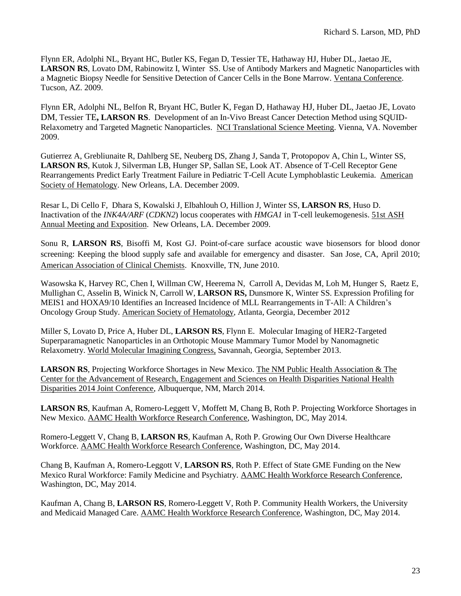Flynn ER, Adolphi NL, Bryant HC, Butler KS, Fegan D, Tessier TE, Hathaway HJ, Huber DL, Jaetao JE, **LARSON RS**, Lovato DM, Rabinowitz I, Winter SS. Use of Antibody Markers and Magnetic Nanoparticles with a Magnetic Biopsy Needle for Sensitive Detection of Cancer Cells in the Bone Marrow. Ventana Conference. Tucson, AZ. 2009.

Flynn ER, Adolphi NL, Belfon R, Bryant HC, Butler K, Fegan D, Hathaway HJ, Huber DL, Jaetao JE, Lovato DM, Tessier TE**, LARSON RS**. Development of an In-Vivo Breast Cancer Detection Method using SQUID-Relaxometry and Targeted Magnetic Nanoparticles. NCI Translational Science Meeting. Vienna, VA. November 2009.

Gutierrez A, Grebliunaite R, Dahlberg SE, Neuberg DS, Zhang J, Sanda T, Protopopov A, Chin L, Winter SS, **LARSON RS**, Kutok J, Silverman LB, Hunger SP, Sallan SE, Look AT. Absence of T-Cell Receptor Gene Rearrangements Predict Early Treatment Failure in Pediatric T-Cell Acute Lymphoblastic Leukemia. American Society of Hematology. New Orleans, LA. December 2009.

Resar L, Di Cello F, Dhara S, Kowalski J, Elbahlouh O, Hillion J, Winter SS, **LARSON RS**, Huso D. Inactivation of the *INK4A/ARF* (*CDKN2*) locus cooperates with *HMGA1* in T-cell leukemogenesis. 51st ASH Annual Meeting and Exposition. New Orleans, LA. December 2009.

Sonu R, **LARSON RS**, Bisoffi M, Kost GJ. Point-of-care surface acoustic wave biosensors for blood donor screening: Keeping the blood supply safe and available for emergency and disaster. San Jose, CA, April 2010; American Association of Clinical Chemists. Knoxville, TN, June 2010.

Wasowska K, Harvey RC, Chen I, Willman CW, Heerema N, Carroll A, Devidas M, Loh M, Hunger S, Raetz E, Mullighan C, Asselin B, Winick N, Carroll W, **LARSON RS,** Dunsmore K, Winter SS. Expression Profiling for MEIS1 and HOXA9/10 Identifies an Increased Incidence of MLL Rearrangements in T-All: A Children's Oncology Group Study. American Society of Hematology, Atlanta, Georgia, December 2012

Miller S, Lovato D, Price A, Huber DL, **LARSON RS**, Flynn E. Molecular Imaging of HER2-Targeted Superparamagnetic Nanoparticles in an Orthotopic Mouse Mammary Tumor Model by Nanomagnetic Relaxometry. World Molecular Imagining Congress, Savannah, Georgia, September 2013.

**LARSON RS**, Projecting Workforce Shortages in New Mexico. The NM Public Health Association & The Center for the Advancement of Research, Engagement and Sciences on Health Disparities National Health Disparities 2014 Joint Conference, Albuquerque, NM, March 2014.

**LARSON RS**, Kaufman A, Romero-Leggett V, Moffett M, Chang B, Roth P. Projecting Workforce Shortages in New Mexico. AAMC Health Workforce Research Conference, Washington, DC, May 2014.

Romero-Leggett V, Chang B, **LARSON RS**, Kaufman A, Roth P. Growing Our Own Diverse Healthcare Workforce. AAMC Health Workforce Research Conference, Washington, DC, May 2014.

Chang B, Kaufman A, Romero-Leggott V, **LARSON RS**, Roth P. Effect of State GME Funding on the New Mexico Rural Workforce: Family Medicine and Psychiatry. AAMC Health Workforce Research Conference, Washington, DC, May 2014.

Kaufman A, Chang B, **LARSON RS**, Romero-Leggett V, Roth P. Community Health Workers, the University and Medicaid Managed Care. AAMC Health Workforce Research Conference, Washington, DC, May 2014.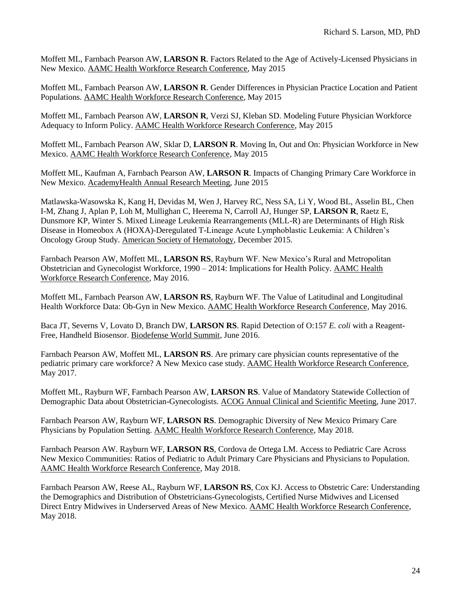Moffett ML, Farnbach Pearson AW, **LARSON R**. Factors Related to the Age of Actively-Licensed Physicians in New Mexico. AAMC Health Workforce Research Conference, May 2015

Moffett ML, Farnbach Pearson AW, **LARSON R**. Gender Differences in Physician Practice Location and Patient Populations. AAMC Health Workforce Research Conference, May 2015

Moffett ML, Farnbach Pearson AW, **LARSON R**, Verzi SJ, Kleban SD. Modeling Future Physician Workforce Adequacy to Inform Policy. AAMC Health Workforce Research Conference, May 2015

Moffett ML, Farnbach Pearson AW, Sklar D, **LARSON R**. Moving In, Out and On: Physician Workforce in New Mexico. AAMC Health Workforce Research Conference, May 2015

Moffett ML, Kaufman A, Farnbach Pearson AW, **LARSON R**. Impacts of Changing Primary Care Workforce in New Mexico. AcademyHealth Annual Research Meeting, June 2015

Matlawska-Wasowska K, Kang H, Devidas M, Wen J, Harvey RC, Ness SA, Li Y, Wood BL, Asselin BL, Chen I-M, Zhang J, Aplan P, Loh M, Mullighan C, Heerema N, Carroll AJ, Hunger SP, **LARSON R**, Raetz E, Dunsmore KP, Winter S. Mixed Lineage Leukemia Rearrangements (MLL-R) are Determinants of High Risk Disease in Homeobox A (HOXA)-Deregulated T-Lineage Acute Lymphoblastic Leukemia: A Children's Oncology Group Study. American Society of Hematology, December 2015.

Farnbach Pearson AW, Moffett ML, **LARSON RS**, Rayburn WF. New Mexico's Rural and Metropolitan Obstetrician and Gynecologist Workforce, 1990 – 2014: Implications for Health Policy. AAMC Health Workforce Research Conference, May 2016.

Moffett ML, Farnbach Pearson AW, **LARSON RS**, Rayburn WF. The Value of Latitudinal and Longitudinal Health Workforce Data: Ob-Gyn in New Mexico. AAMC Health Workforce Research Conference, May 2016.

Baca JT, Severns V, Lovato D, Branch DW, **LARSON RS**. Rapid Detection of O:157 *E. coli* with a Reagent-Free, Handheld Biosensor. Biodefense World Summit, June 2016.

Farnbach Pearson AW, Moffett ML, **LARSON RS**. Are primary care physician counts representative of the pediatric primary care workforce? A New Mexico case study. AAMC Health Workforce Research Conference, May 2017.

Moffett ML, Rayburn WF, Farnbach Pearson AW, **LARSON RS**. Value of Mandatory Statewide Collection of Demographic Data about Obstetrician-Gynecologists. ACOG Annual Clinical and Scientific Meeting, June 2017.

Farnbach Pearson AW, Rayburn WF, **LARSON RS**. Demographic Diversity of New Mexico Primary Care Physicians by Population Setting. AAMC Health Workforce Research Conference, May 2018.

Farnbach Pearson AW. Rayburn WF, **LARSON RS**, Cordova de Ortega LM. Access to Pediatric Care Across New Mexico Communities: Ratios of Pediatric to Adult Primary Care Physicians and Physicians to Population. AAMC Health Workforce Research Conference, May 2018.

Farnbach Pearson AW, Reese AL, Rayburn WF, **LARSON RS**, Cox KJ. Access to Obstetric Care: Understanding the Demographics and Distribution of Obstetricians-Gynecologists, Certified Nurse Midwives and Licensed Direct Entry Midwives in Underserved Areas of New Mexico. AAMC Health Workforce Research Conference, May 2018.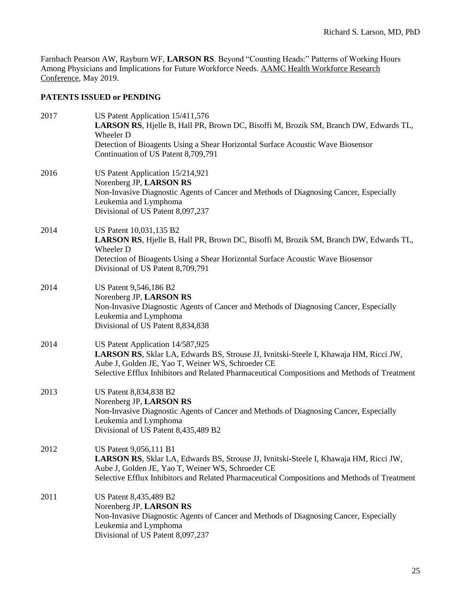Farnbach Pearson AW, Rayburn WF, **LARSON RS**. Beyond "Counting Heads:" Patterns of Working Hours Among Physicians and Implications for Future Workforce Needs. AAMC Health Workforce Research Conference, May 2019.

# **PATENTS ISSUED or PENDING**

| 2017 | US Patent Application 15/411,576<br>LARSON RS, Hjelle B, Hall PR, Brown DC, Bisoffi M, Brozik SM, Branch DW, Edwards TL,<br>Wheeler D<br>Detection of Bioagents Using a Shear Horizontal Surface Acoustic Wave Biosensor<br>Continuation of US Patent 8,709,791                |
|------|--------------------------------------------------------------------------------------------------------------------------------------------------------------------------------------------------------------------------------------------------------------------------------|
| 2016 | US Patent Application 15/214,921<br>Norenberg JP, LARSON RS<br>Non-Invasive Diagnostic Agents of Cancer and Methods of Diagnosing Cancer, Especially<br>Leukemia and Lymphoma<br>Divisional of US Patent 8,097,237                                                             |
| 2014 | US Patent 10,031,135 B2<br>LARSON RS, Hjelle B, Hall PR, Brown DC, Bisoffi M, Brozik SM, Branch DW, Edwards TL,<br>Wheeler D<br>Detection of Bioagents Using a Shear Horizontal Surface Acoustic Wave Biosensor<br>Divisional of US Patent 8,709,791                           |
| 2014 | US Patent 9,546,186 B2<br>Norenberg JP, LARSON RS<br>Non-Invasive Diagnostic Agents of Cancer and Methods of Diagnosing Cancer, Especially<br>Leukemia and Lymphoma<br>Divisional of US Patent 8,834,838                                                                       |
| 2014 | US Patent Application 14/587,925<br>LARSON RS, Sklar LA, Edwards BS, Strouse JJ, Ivnitski-Steele I, Khawaja HM, Ricci JW,<br>Aube J, Golden JE, Yao T, Weiner WS, Schroeder CE<br>Selective Efflux Inhibitors and Related Pharmaceutical Compositions and Methods of Treatment |
| 2013 | US Patent 8,834,838 B2<br>Norenberg JP, LARSON RS<br>Non-Invasive Diagnostic Agents of Cancer and Methods of Diagnosing Cancer, Especially<br>Leukemia and Lymphoma<br>Divisional of US Patent 8,435,489 B2                                                                    |
| 2012 | US Patent 9,056,111 B1<br>LARSON RS, Sklar LA, Edwards BS, Strouse JJ, Ivnitski-Steele I, Khawaja HM, Ricci JW,<br>Aube J, Golden JE, Yao T, Weiner WS, Schroeder CE<br>Selective Efflux Inhibitors and Related Pharmaceutical Compositions and Methods of Treatment           |
| 2011 | US Patent 8,435,489 B2<br>Norenberg JP, LARSON RS<br>Non-Invasive Diagnostic Agents of Cancer and Methods of Diagnosing Cancer, Especially<br>Leukemia and Lymphoma<br>Divisional of US Patent 8,097,237                                                                       |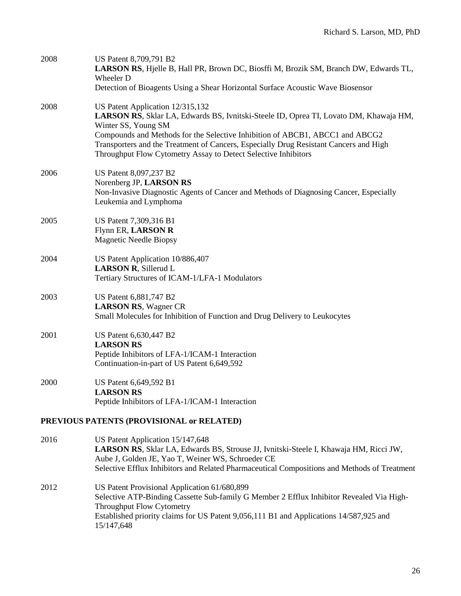| 2008 | US Patent 8,709,791 B2<br>LARSON RS, Hjelle B, Hall PR, Brown DC, Biosffi M, Brozik SM, Branch DW, Edwards TL,<br>Wheeler D<br>Detection of Bioagents Using a Shear Horizontal Surface Acoustic Wave Biosensor                                                                                                                                                                              |  |
|------|---------------------------------------------------------------------------------------------------------------------------------------------------------------------------------------------------------------------------------------------------------------------------------------------------------------------------------------------------------------------------------------------|--|
| 2008 | US Patent Application 12/315,132<br>LARSON RS, Sklar LA, Edwards BS, Ivnitski-Steele ID, Oprea TI, Lovato DM, Khawaja HM,<br>Winter SS, Young SM<br>Compounds and Methods for the Selective Inhibition of ABCB1, ABCC1 and ABCG2<br>Transporters and the Treatment of Cancers, Especially Drug Resistant Cancers and High<br>Throughput Flow Cytometry Assay to Detect Selective Inhibitors |  |
| 2006 | US Patent 8,097,237 B2<br>Norenberg JP, LARSON RS<br>Non-Invasive Diagnostic Agents of Cancer and Methods of Diagnosing Cancer, Especially<br>Leukemia and Lymphoma                                                                                                                                                                                                                         |  |
| 2005 | US Patent 7,309,316 B1<br>Flynn ER, LARSON R<br><b>Magnetic Needle Biopsy</b>                                                                                                                                                                                                                                                                                                               |  |
| 2004 | US Patent Application 10/886,407<br>LARSON R, Sillerud L<br>Tertiary Structures of ICAM-1/LFA-1 Modulators                                                                                                                                                                                                                                                                                  |  |
| 2003 | US Patent 6,881,747 B2<br><b>LARSON RS, Wagner CR</b><br>Small Molecules for Inhibition of Function and Drug Delivery to Leukocytes                                                                                                                                                                                                                                                         |  |
| 2001 | US Patent 6,630,447 B2<br><b>LARSON RS</b><br>Peptide Inhibitors of LFA-1/ICAM-1 Interaction<br>Continuation-in-part of US Patent 6,649,592                                                                                                                                                                                                                                                 |  |
| 2000 | US Patent 6,649,592 B1<br><b>LARSON RS</b><br>Peptide Inhibitors of LFA-1/ICAM-1 Interaction                                                                                                                                                                                                                                                                                                |  |
|      | PREVIOUS PATENTS (PROVISIONAL or RELATED)                                                                                                                                                                                                                                                                                                                                                   |  |
| 2016 | US Patent Application 15/147,648<br>LARSON RS, Sklar LA, Edwards BS, Strouse JJ, Ivnitski-Steele I, Khawaja HM, Ricci JW,<br>Aube J, Golden JE, Yao T, Weiner WS, Schroeder CE<br>Selective Efflux Inhibitors and Related Pharmaceutical Compositions and Methods of Treatment                                                                                                              |  |
| 2012 | US Patent Provisional Application 61/680,899<br>Selective ATP-Binding Cassette Sub-family G Member 2 Efflux Inhibitor Revealed Via High-<br>Throughput Flow Cytometry<br>Established priority claims for US Patent 9,056,111 B1 and Applications 14/587,925 and<br>15/147,648                                                                                                               |  |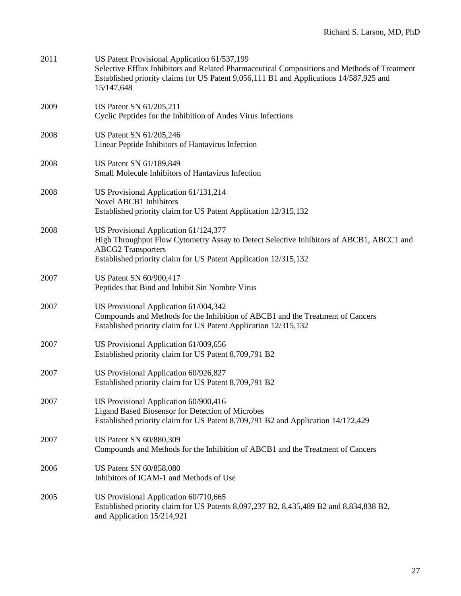| 2011 | US Patent Provisional Application 61/537,199<br>Selective Efflux Inhibitors and Related Pharmaceutical Compositions and Methods of Treatment<br>Established priority claims for US Patent 9,056,111 B1 and Applications 14/587,925 and<br>15/147,648 |
|------|------------------------------------------------------------------------------------------------------------------------------------------------------------------------------------------------------------------------------------------------------|
| 2009 | US Patent SN 61/205,211<br>Cyclic Peptides for the Inhibition of Andes Virus Infections                                                                                                                                                              |
| 2008 | US Patent SN 61/205,246<br>Linear Peptide Inhibitors of Hantavirus Infection                                                                                                                                                                         |
| 2008 | US Patent SN 61/189,849<br>Small Molecule Inhibitors of Hantavirus Infection                                                                                                                                                                         |
| 2008 | US Provisional Application 61/131,214<br><b>Novel ABCB1 Inhibitors</b><br>Established priority claim for US Patent Application 12/315,132                                                                                                            |
| 2008 | US Provisional Application 61/124,377<br>High Throughput Flow Cytometry Assay to Detect Selective Inhibitors of ABCB1, ABCC1 and<br><b>ABCG2</b> Transporters<br>Established priority claim for US Patent Application 12/315,132                     |
| 2007 | US Patent SN 60/900,417<br>Peptides that Bind and Inhibit Sin Nombre Virus                                                                                                                                                                           |
| 2007 | US Provisional Application 61/004,342<br>Compounds and Methods for the Inhibition of ABCB1 and the Treatment of Cancers<br>Established priority claim for US Patent Application 12/315,132                                                           |
| 2007 | US Provisional Application 61/009,656<br>Established priority claim for US Patent 8,709,791 B2                                                                                                                                                       |
| 2007 | US Provisional Application 60/926,827<br>Established priority claim for US Patent 8,709,791 B2                                                                                                                                                       |
| 2007 | US Provisional Application 60/900,416<br>Ligand Based Biosensor for Detection of Microbes<br>Established priority claim for US Patent 8,709,791 B2 and Application 14/172,429                                                                        |
| 2007 | US Patent SN 60/880,309<br>Compounds and Methods for the Inhibition of ABCB1 and the Treatment of Cancers                                                                                                                                            |
| 2006 | US Patent SN 60/858,080<br>Inhibitors of ICAM-1 and Methods of Use                                                                                                                                                                                   |
| 2005 | US Provisional Application 60/710,665<br>Established priority claim for US Patents 8,097,237 B2, 8,435,489 B2 and 8,834,838 B2,<br>and Application 15/214,921                                                                                        |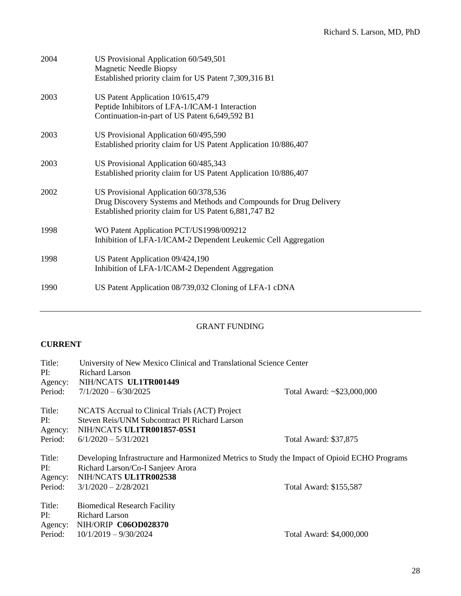| 2004 | US Provisional Application 60/549,501<br><b>Magnetic Needle Biopsy</b><br>Established priority claim for US Patent 7,309,316 B1                                      |
|------|----------------------------------------------------------------------------------------------------------------------------------------------------------------------|
| 2003 | US Patent Application 10/615,479<br>Peptide Inhibitors of LFA-1/ICAM-1 Interaction<br>Continuation-in-part of US Patent 6,649,592 B1                                 |
| 2003 | US Provisional Application 60/495,590<br>Established priority claim for US Patent Application 10/886,407                                                             |
| 2003 | US Provisional Application 60/485,343<br>Established priority claim for US Patent Application 10/886,407                                                             |
| 2002 | US Provisional Application 60/378,536<br>Drug Discovery Systems and Methods and Compounds for Drug Delivery<br>Established priority claim for US Patent 6,881,747 B2 |
| 1998 | WO Patent Application PCT/US1998/009212<br>Inhibition of LFA-1/ICAM-2 Dependent Leukemic Cell Aggregation                                                            |
| 1998 | US Patent Application 09/424,190<br>Inhibition of LFA-1/ICAM-2 Dependent Aggregation                                                                                 |
| 1990 | US Patent Application 08/739,032 Cloning of LFA-1 cDNA                                                                                                               |

## GRANT FUNDING

# **CURRENT**

| Title:<br>PI:            | University of New Mexico Clinical and Translational Science Center<br>Richard Larson                                                                       |                            |
|--------------------------|------------------------------------------------------------------------------------------------------------------------------------------------------------|----------------------------|
| Agency:                  | NIH/NCATS UL1TR001449                                                                                                                                      |                            |
| Period:                  | $7/1/2020 - 6/30/2025$                                                                                                                                     | Total Award: ~\$23,000,000 |
| Title:<br>PI:<br>Agency: | NCATS Accrual to Clinical Trials (ACT) Project<br>Steven Reis/UNM Subcontract PI Richard Larson<br>NIH/NCATS UL1TR001857-05S1                              |                            |
| Period:                  | $6/1/2020 - 5/31/2021$                                                                                                                                     | Total Award: \$37,875      |
| Title:<br>PI:<br>Agency: | Developing Infrastructure and Harmonized Metrics to Study the Impact of Opioid ECHO Programs<br>Richard Larson/Co-I Sanjeev Arora<br>NIH/NCATS UL1TR002538 |                            |
| Period:                  | $3/1/2020 - 2/28/2021$                                                                                                                                     | Total Award: \$155,587     |
| Title:<br>PI:            | <b>Biomedical Research Facility</b><br><b>Richard Larson</b>                                                                                               |                            |
| Agency:                  | NIH/ORIP C06OD028370                                                                                                                                       |                            |
| Period:                  | $10/1/2019 - 9/30/2024$                                                                                                                                    | Total Award: \$4,000,000   |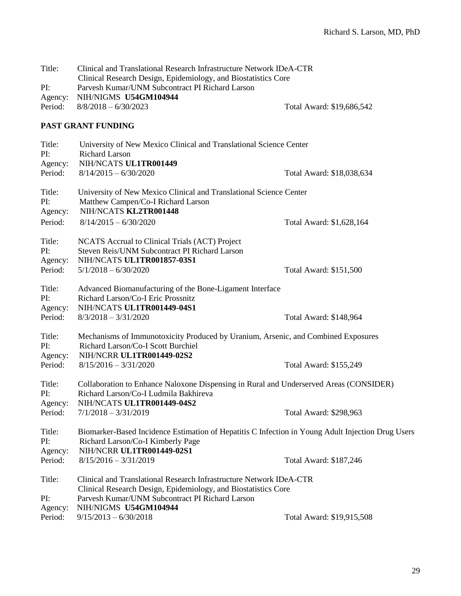| Title:             | Clinical and Translational Research Infrastructure Network IDeA-CTR<br>Clinical Research Design, Epidemiology, and Biostatistics Core |                           |
|--------------------|---------------------------------------------------------------------------------------------------------------------------------------|---------------------------|
| PI:                | Parvesh Kumar/UNM Subcontract PI Richard Larson                                                                                       |                           |
| Agency:            | NIH/NIGMS U54GM104944                                                                                                                 |                           |
| Period:            | $8/8/2018 - 6/30/2023$                                                                                                                | Total Award: \$19,686,542 |
|                    | PAST GRANT FUNDING                                                                                                                    |                           |
| Title:             | University of New Mexico Clinical and Translational Science Center                                                                    |                           |
| PI:                | <b>Richard Larson</b>                                                                                                                 |                           |
| Agency:            | NIH/NCATS UL1TR001449                                                                                                                 |                           |
| Period:            | $8/14/2015 - 6/30/2020$                                                                                                               | Total Award: \$18,038,634 |
| Title:             | University of New Mexico Clinical and Translational Science Center                                                                    |                           |
| PI:                | Matthew Campen/Co-I Richard Larson                                                                                                    |                           |
| Agency:            | NIH/NCATS KL2TR001448                                                                                                                 |                           |
| Period:            | $8/14/2015 - 6/30/2020$                                                                                                               | Total Award: \$1,628,164  |
| Title:             | NCATS Accrual to Clinical Trials (ACT) Project                                                                                        |                           |
| PI:                | Steven Reis/UNM Subcontract PI Richard Larson                                                                                         |                           |
| Agency:            | NIH/NCATS UL1TR001857-03S1                                                                                                            |                           |
| Period:            | $5/1/2018 - 6/30/2020$                                                                                                                | Total Award: \$151,500    |
| Title:             | Advanced Biomanufacturing of the Bone-Ligament Interface                                                                              |                           |
| PI:                | Richard Larson/Co-I Eric Prossnitz                                                                                                    |                           |
| Agency:            | NIH/NCATS UL1TR001449-04S1                                                                                                            |                           |
| Period:            | $8/3/2018 - 3/31/2020$                                                                                                                | Total Award: \$148,964    |
| Title:             | Mechanisms of Immunotoxicity Produced by Uranium, Arsenic, and Combined Exposures                                                     |                           |
| PI:                | Richard Larson/Co-I Scott Burchiel                                                                                                    |                           |
| Agency:            | NIH/NCRR UL1TR001449-02S2                                                                                                             |                           |
| Period:            | $8/15/2016 - 3/31/2020$                                                                                                               | Total Award: \$155,249    |
| Title:             | Collaboration to Enhance Naloxone Dispensing in Rural and Underserved Areas (CONSIDER)                                                |                           |
| PI:                | Richard Larson/Co-I Ludmila Bakhireva                                                                                                 |                           |
| Agency:            | NIH/NCATS UL1TR001449-04S2                                                                                                            |                           |
| Period:            | $7/1/2018 - 3/31/2019$                                                                                                                | Total Award: \$298,963    |
| Title:             | Biomarker-Based Incidence Estimation of Hepatitis C Infection in Young Adult Injection Drug Users                                     |                           |
| PI:                | Richard Larson/Co-I Kimberly Page                                                                                                     |                           |
| Agency:            | NIH/NCRR UL1TR001449-02S1                                                                                                             |                           |
| Period:            | $8/15/2016 - 3/31/2019$                                                                                                               | Total Award: \$187,246    |
| Title:             | Clinical and Translational Research Infrastructure Network IDeA-CTR                                                                   |                           |
|                    | Clinical Research Design, Epidemiology, and Biostatistics Core                                                                        |                           |
| PI:                | Parvesh Kumar/UNM Subcontract PI Richard Larson                                                                                       |                           |
| Agency:<br>Period: | NIH/NIGMS U54GM104944<br>$9/15/2013 - 6/30/2018$                                                                                      | Total Award: \$19,915,508 |
|                    |                                                                                                                                       |                           |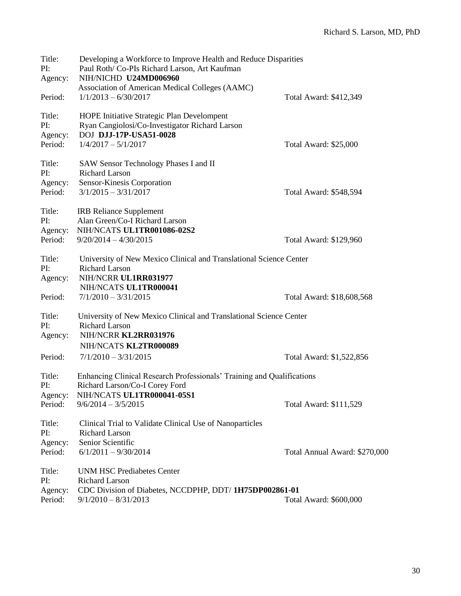| Title:<br>PI:<br>Agency:            | Developing a Workforce to Improve Health and Reduce Disparities<br>Paul Roth/ Co-PIs Richard Larson, Art Kaufman<br>NIH/NICHD U24MD006960                              |                               |  |
|-------------------------------------|------------------------------------------------------------------------------------------------------------------------------------------------------------------------|-------------------------------|--|
| Period:                             | Association of American Medical Colleges (AAMC)<br>$1/1/2013 - 6/30/2017$                                                                                              | Total Award: \$412,349        |  |
| Title:<br>PI:<br>Agency:<br>Period: | <b>HOPE Initiative Strategic Plan Develompent</b><br>Ryan Cangiolosi/Co-Investigator Richard Larson<br><b>DOJ DJJ-17P-USA51-0028</b><br>$1/4/2017 - 5/1/2017$          | Total Award: \$25,000         |  |
| Title:<br>PI:<br>Agency:<br>Period: | SAW Sensor Technology Phases I and II<br><b>Richard Larson</b><br>Sensor-Kinesis Corporation<br>$3/1/2015 - 3/31/2017$                                                 | Total Award: \$548,594        |  |
| Title:<br>PI:<br>Agency:<br>Period: | <b>IRB</b> Reliance Supplement<br>Alan Green/Co-I Richard Larson<br>NIH/NCATS UL1TR001086-02S2<br>$9/20/2014 - 4/30/2015$                                              | Total Award: \$129,960        |  |
| Title:<br>PI:<br>Agency:<br>Period: | University of New Mexico Clinical and Translational Science Center<br><b>Richard Larson</b><br>NIH/NCRR UL1RR031977<br>NIH/NCATS UL1TR000041<br>$7/1/2010 - 3/31/2015$ | Total Award: \$18,608,568     |  |
| Title:<br>PI:<br>Agency:<br>Period: | University of New Mexico Clinical and Translational Science Center<br><b>Richard Larson</b><br>NIH/NCRR KL2RR031976<br>NIH/NCATS KL2TR000089<br>$7/1/2010 - 3/31/2015$ | Total Award: \$1,522,856      |  |
| Title:<br>PI:<br>Agency:<br>Period: | Enhancing Clinical Research Professionals' Training and Qualifications<br>Richard Larson/Co-I Corey Ford<br>NIH/NCATS UL1TR000041-05S1<br>$9/6/2014 - 3/5/2015$        | Total Award: \$111,529        |  |
| Title:<br>PI:<br>Agency:<br>Period: | Clinical Trial to Validate Clinical Use of Nanoparticles<br><b>Richard Larson</b><br>Senior Scientific<br>$6/1/2011 - 9/30/2014$                                       | Total Annual Award: \$270,000 |  |
| Title:<br>PI:<br>Agency:<br>Period: | <b>UNM HSC Prediabetes Center</b><br>Richard Larson<br>CDC Division of Diabetes, NCCDPHP, DDT/1H75DP002861-01<br>$9/1/2010 - 8/31/2013$                                | Total Award: \$600,000        |  |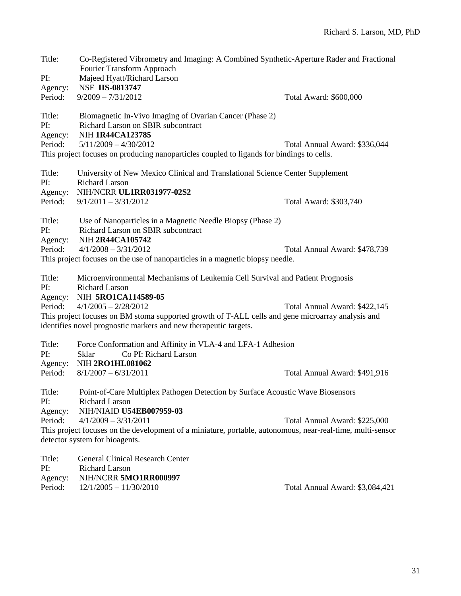| Title:        | Co-Registered Vibrometry and Imaging: A Combined Synthetic-Aperture Rader and Fractional<br>Fourier Transform Approach                                                |                                 |
|---------------|-----------------------------------------------------------------------------------------------------------------------------------------------------------------------|---------------------------------|
| PI:           | Majeed Hyatt/Richard Larson                                                                                                                                           |                                 |
| Agency:       | <b>NSF IIS-0813747</b>                                                                                                                                                |                                 |
| Period:       | $9/2009 - 7/31/2012$                                                                                                                                                  | Total Award: \$600,000          |
| Title:        | Biomagnetic In-Vivo Imaging of Ovarian Cancer (Phase 2)                                                                                                               |                                 |
| PI:           | Richard Larson on SBIR subcontract                                                                                                                                    |                                 |
| Agency:       | NIH 1R44CA123785                                                                                                                                                      |                                 |
| Period:       | $5/11/2009 - 4/30/2012$<br>This project focuses on producing nanoparticles coupled to ligands for bindings to cells.                                                  | Total Annual Award: \$336,044   |
|               |                                                                                                                                                                       |                                 |
| Title:<br>PI: | University of New Mexico Clinical and Translational Science Center Supplement<br><b>Richard Larson</b>                                                                |                                 |
| Agency:       | NIH/NCRR UL1RR031977-02S2                                                                                                                                             |                                 |
| Period:       | $9/1/2011 - 3/31/2012$                                                                                                                                                | Total Award: \$303,740          |
| Title:        | Use of Nanoparticles in a Magnetic Needle Biopsy (Phase 2)                                                                                                            |                                 |
| PI:           | Richard Larson on SBIR subcontract                                                                                                                                    |                                 |
| Agency:       | NIH 2R44CA105742                                                                                                                                                      |                                 |
| Period:       | $4/1/2008 - 3/31/2012$                                                                                                                                                | Total Annual Award: \$478,739   |
|               | This project focuses on the use of nanoparticles in a magnetic biopsy needle.                                                                                         |                                 |
| Title:        | Microenvironmental Mechanisms of Leukemia Cell Survival and Patient Prognosis                                                                                         |                                 |
| PI:           | <b>Richard Larson</b>                                                                                                                                                 |                                 |
| Agency:       | NIH 5RO1CA114589-05                                                                                                                                                   |                                 |
| Period:       | $4/1/2005 - 2/28/2012$                                                                                                                                                | Total Annual Award: \$422,145   |
|               | This project focuses on BM stoma supported growth of T-ALL cells and gene microarray analysis and<br>identifies novel prognostic markers and new therapeutic targets. |                                 |
| Title:        | Force Conformation and Affinity in VLA-4 and LFA-1 Adhesion                                                                                                           |                                 |
| PI:           | Co PI: Richard Larson<br>Sklar                                                                                                                                        |                                 |
| Agency:       | <b>NIH 2RO1HL081062</b>                                                                                                                                               |                                 |
| Period:       | $8/1/2007 - 6/31/2011$                                                                                                                                                | Total Annual Award: \$491,916   |
| Title:        | Point-of-Care Multiplex Pathogen Detection by Surface Acoustic Wave Biosensors                                                                                        |                                 |
| PI:           | <b>Richard Larson</b>                                                                                                                                                 |                                 |
| Agency:       | NIH/NIAID U54EB007959-03                                                                                                                                              |                                 |
| Period:       | $4/1/2009 - 3/31/2011$                                                                                                                                                | Total Annual Award: \$225,000   |
|               | This project focuses on the development of a miniature, portable, autonomous, near-real-time, multi-sensor                                                            |                                 |
|               | detector system for bioagents.                                                                                                                                        |                                 |
| Title:        | <b>General Clinical Research Center</b>                                                                                                                               |                                 |
| PI:           | <b>Richard Larson</b>                                                                                                                                                 |                                 |
| Agency:       | NIH/NCRR 5MO1RR000997                                                                                                                                                 |                                 |
| Period:       | $12/1/2005 - 11/30/2010$                                                                                                                                              | Total Annual Award: \$3,084,421 |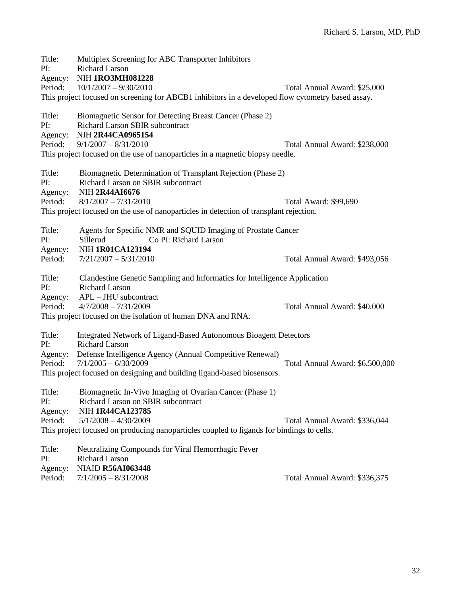| Title:<br>PI:<br>Agency:<br>Period: | Multiplex Screening for ABC Transporter Inhibitors<br><b>Richard Larson</b><br><b>NIH 1RO3MH081228</b><br>$10/1/2007 - 9/30/2010$<br>This project focused on screening for ABCB1 inhibitors in a developed flow cytometry based assay.         | Total Annual Award: \$25,000    |
|-------------------------------------|------------------------------------------------------------------------------------------------------------------------------------------------------------------------------------------------------------------------------------------------|---------------------------------|
| Title:<br>PI:<br>Agency:<br>Period: | Biomagnetic Sensor for Detecting Breast Cancer (Phase 2)<br>Richard Larson SBIR subcontract<br>NIH 2R44CA0965154<br>$9/1/2007 - 8/31/2010$<br>This project focused on the use of nanoparticles in a magnetic biopsy needle.                    | Total Annual Award: \$238,000   |
| Title:<br>PI:<br>Agency:<br>Period: | Biomagnetic Determination of Transplant Rejection (Phase 2)<br>Richard Larson on SBIR subcontract<br><b>NIH 2R44AI6676</b><br>$8/1/2007 - 7/31/2010$<br>This project focused on the use of nanoparticles in detection of transplant rejection. | Total Award: \$99,690           |
| Title:<br>PI:<br>Agency:<br>Period: | Agents for Specific NMR and SQUID Imaging of Prostate Cancer<br>Co PI: Richard Larson<br>Sillerud<br><b>NIH 1R01CA123194</b><br>$7/21/2007 - 5/31/2010$                                                                                        | Total Annual Award: \$493,056   |
| Title:                              | Clandestine Genetic Sampling and Informatics for Intelligence Application                                                                                                                                                                      |                                 |
| PI:<br>Agency:<br>Period:           | <b>Richard Larson</b><br>$APL - JHU$ subcontract<br>$4/7/2008 - 7/31/2009$<br>This project focused on the isolation of human DNA and RNA.                                                                                                      | Total Annual Award: \$40,000    |
| Title:                              | Integrated Network of Ligand-Based Autonomous Bioagent Detectors                                                                                                                                                                               |                                 |
| PI:<br>Agency:<br>Period:           | <b>Richard Larson</b><br>Defense Intelligence Agency (Annual Competitive Renewal)<br>$7/1/2005 - 6/30/2009$<br>This project focused on designing and building ligand-based biosensors.                                                         | Total Annual Award: \$6,500,000 |
| Title:<br>PI:<br>Agency:<br>Period: | Biomagnetic In-Vivo Imaging of Ovarian Cancer (Phase 1)<br>Richard Larson on SBIR subcontract<br>NIH 1R44CA123785<br>$5/1/2008 - 4/30/2009$<br>This project focused on producing nanoparticles coupled to ligands for bindings to cells.       | Total Annual Award: \$336,044   |
| Title:<br>PI:<br>Agency:            | Neutralizing Compounds for Viral Hemorrhagic Fever<br><b>Richard Larson</b><br><b>NIAID R56AI063448</b>                                                                                                                                        |                                 |

Period:  $7/1/2005 - 8/31/2008$ 

Total Annual Award: \$336,375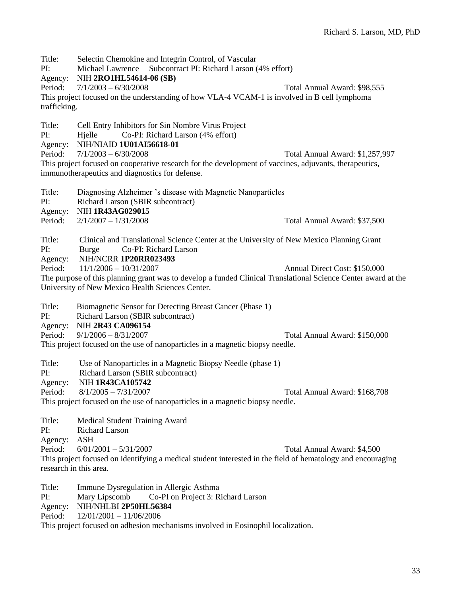Title: Selectin Chemokine and Integrin Control, of Vascular

PI: Michael Lawrence Subcontract PI: Richard Larson (4% effort)

Agency: NIH **2RO1HL54614-06 (SB)**

Period: 7/1/2003 – 6/30/2008 Total Annual Award: \$98,555

This project focused on the understanding of how VLA-4 VCAM-1 is involved in B cell lymphoma trafficking.

Title: Cell Entry Inhibitors for Sin Nombre Virus Project

PI: Hjelle Co-PI: Richard Larson (4% effort)

Agency: NIH/NIAID **1U01AI56618-01**

Period: 7/1/2003 – 6/30/2008 Total Annual Award: \$1,257,997

This project focused on cooperative research for the development of vaccines, adjuvants, therapeutics, immunotherapeutics and diagnostics for defense.

Title: Diagnosing Alzheimer 's disease with Magnetic Nanoparticles

PI: Richard Larson (SBIR subcontract)

Agency: NIH **1R43AG029015**

Period: 2/1/2007 – 1/31/2008 Total Annual Award: \$37,500

Title: Clinical and Translational Science Center at the University of New Mexico Planning Grant

PI: Burge Co-PI: Richard Larson

Agency: NIH/NCRR **1P20RR023493**

Period: 11/1/2006 – 10/31/2007 Annual Direct Cost: \$150,000

The purpose of this planning grant was to develop a funded Clinical Translational Science Center award at the University of New Mexico Health Sciences Center.

Title: Biomagnetic Sensor for Detecting Breast Cancer (Phase 1)

PI: Richard Larson (SBIR subcontract)

Agency: NIH **2R43 CA096154**

Period: 9/1/2006 – 8/31/2007 Total Annual Award: \$150,000 This project focused on the use of nanoparticles in a magnetic biopsy needle.

Title: Use of Nanoparticles in a Magnetic Biopsy Needle (phase 1)

PI: Richard Larson (SBIR subcontract)

Agency: NIH **1R43CA105742**

Period: 8/1/2005 – 7/31/2007 Total Annual Award: \$168,708

This project focused on the use of nanoparticles in a magnetic biopsy needle.

Title: Medical Student Training Award

PI: Richard Larson

Agency: ASH

Period: 6/01/2001 – 5/31/2007 Total Annual Award: \$4,500

This project focused on identifying a medical student interested in the field of hematology and encouraging

research in this area.

Title: Immune Dysregulation in Allergic Asthma

PI: Mary Lipscomb Co-PI on Project 3: Richard Larson

Agency: NIH/NHLBI **2P50HL56384**

Period: 12/01/2001 – 11/06/2006

This project focused on adhesion mechanisms involved in Eosinophil localization.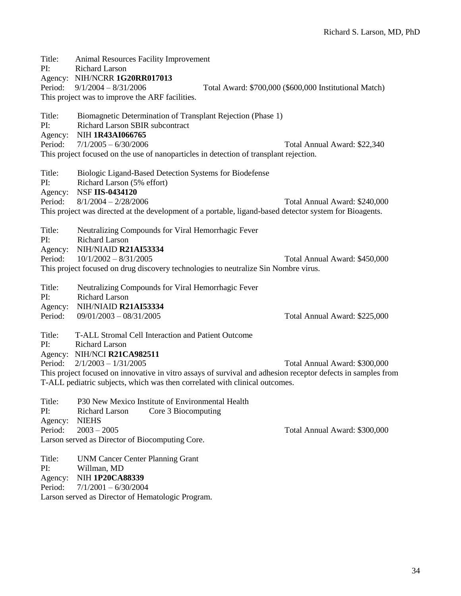| Title:<br>PI:                                                                                                                                                                               | Animal Resources Facility Improvement<br><b>Richard Larson</b><br>Agency: NIH/NCRR 1G20RR017013<br>Period: $9/1/2004 - 8/31/2006$<br>This project was to improve the ARF facilities. | Total Award: \$700,000 (\$600,000 Institutional Match) |  |  |
|---------------------------------------------------------------------------------------------------------------------------------------------------------------------------------------------|--------------------------------------------------------------------------------------------------------------------------------------------------------------------------------------|--------------------------------------------------------|--|--|
|                                                                                                                                                                                             |                                                                                                                                                                                      |                                                        |  |  |
| Title:<br>PI:                                                                                                                                                                               | Biomagnetic Determination of Transplant Rejection (Phase 1)<br>Richard Larson SBIR subcontract                                                                                       |                                                        |  |  |
| Agency:<br>Period:                                                                                                                                                                          | NIH 1R43AI066765<br>$7/1/2005 - 6/30/2006$                                                                                                                                           | Total Annual Award: \$22,340                           |  |  |
|                                                                                                                                                                                             | This project focused on the use of nanoparticles in detection of transplant rejection.                                                                                               |                                                        |  |  |
| Title:<br>PI:<br>Agency:                                                                                                                                                                    | Biologic Ligand-Based Detection Systems for Biodefense<br>Richard Larson (5% effort)<br><b>NSF IIS-0434120</b>                                                                       |                                                        |  |  |
| Period:                                                                                                                                                                                     | $8/1/2004 - 2/28/2006$                                                                                                                                                               | Total Annual Award: \$240,000                          |  |  |
|                                                                                                                                                                                             | This project was directed at the development of a portable, ligand-based detector system for Bioagents.                                                                              |                                                        |  |  |
| Title:<br>PI:                                                                                                                                                                               | Neutralizing Compounds for Viral Hemorrhagic Fever<br><b>Richard Larson</b><br>Agency: NIH/NIAID R21AI53334                                                                          |                                                        |  |  |
| Period:                                                                                                                                                                                     | $10/1/2002 - 8/31/2005$                                                                                                                                                              | Total Annual Award: \$450,000                          |  |  |
|                                                                                                                                                                                             | This project focused on drug discovery technologies to neutralize Sin Nombre virus.                                                                                                  |                                                        |  |  |
|                                                                                                                                                                                             |                                                                                                                                                                                      |                                                        |  |  |
| Title:<br>PI:                                                                                                                                                                               | Neutralizing Compounds for Viral Hemorrhagic Fever<br><b>Richard Larson</b>                                                                                                          |                                                        |  |  |
| Agency:                                                                                                                                                                                     | NIH/NIAID R21AI53334                                                                                                                                                                 |                                                        |  |  |
| Period:                                                                                                                                                                                     | $09/01/2003 - 08/31/2005$                                                                                                                                                            | Total Annual Award: \$225,000                          |  |  |
| Title:<br>PI:                                                                                                                                                                               | T-ALL Stromal Cell Interaction and Patient Outcome<br><b>Richard Larson</b>                                                                                                          |                                                        |  |  |
|                                                                                                                                                                                             | Agency: NIH/NCI R21CA982511                                                                                                                                                          |                                                        |  |  |
| Period:                                                                                                                                                                                     | $2/1/2003 - 1/31/2005$                                                                                                                                                               | Total Annual Award: \$300,000                          |  |  |
| This project focused on innovative in vitro assays of survival and adhesion receptor defects in samples from<br>T-ALL pediatric subjects, which was then correlated with clinical outcomes. |                                                                                                                                                                                      |                                                        |  |  |
| Title:<br>PI:                                                                                                                                                                               | P30 New Mexico Institute of Environmental Health<br><b>Richard Larson</b><br>Core 3 Biocomputing                                                                                     |                                                        |  |  |
| Agency:                                                                                                                                                                                     | <b>NIEHS</b>                                                                                                                                                                         |                                                        |  |  |
| Period:                                                                                                                                                                                     | $2003 - 2005$                                                                                                                                                                        | Total Annual Award: \$300,000                          |  |  |
|                                                                                                                                                                                             | Larson served as Director of Biocomputing Core.                                                                                                                                      |                                                        |  |  |
| Title:<br>PI:                                                                                                                                                                               | <b>UNM Cancer Center Planning Grant</b><br>Willman, MD                                                                                                                               |                                                        |  |  |
| Agency:                                                                                                                                                                                     | <b>NIH 1P20CA88339</b>                                                                                                                                                               |                                                        |  |  |
| Period:                                                                                                                                                                                     | $7/1/2001 - 6/30/2004$                                                                                                                                                               |                                                        |  |  |

Larson served as Director of Hematologic Program.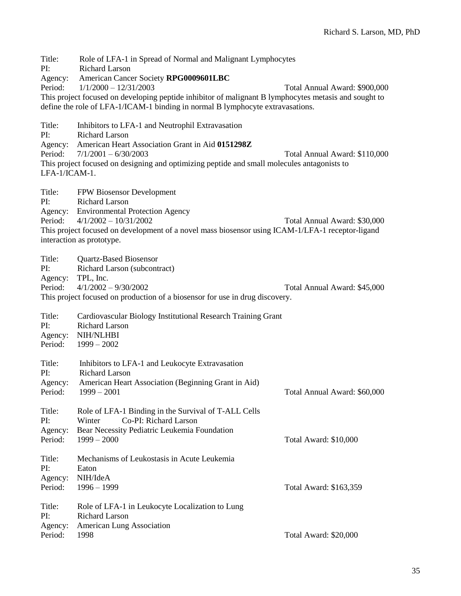Title: Role of LFA-1 in Spread of Normal and Malignant Lymphocytes PI: Richard Larson Agency: American Cancer Society **RPG0009601LBC** Period: 1/1/2000 – 12/31/2003 Total Annual Award: \$900,000 This project focused on developing peptide inhibitor of malignant B lymphocytes metasis and sought to define the role of LFA-1/ICAM-1 binding in normal B lymphocyte extravasations. Title: Inhibitors to LFA-1 and Neutrophil Extravasation PI: Richard Larson Agency: American Heart Association Grant in Aid **0151298Z** Period: 7/1/2001 – 6/30/2003 Total Annual Award: \$110,000 This project focused on designing and optimizing peptide and small molecules antagonists to LFA-1/ICAM-1. Title: FPW Biosensor Development PI: Richard Larson Agency: Environmental Protection Agency Period: 4/1/2002 – 10/31/2002 Total Annual Award: \$30,000 This project focused on development of a novel mass biosensor using ICAM-1/LFA-1 receptor-ligand interaction as prototype. Title: Quartz-Based Biosensor PI: Richard Larson (subcontract) Agency: TPL, Inc. Period: 4/1/2002 – 9/30/2002 Total Annual Award: \$45,000 This project focused on production of a biosensor for use in drug discovery. Title: Cardiovascular Biology Institutional Research Training Grant PI: Richard Larson Agency: NIH/NLHBI Period: 1999 – 2002 Title: Inhibitors to LFA-1 and Leukocyte Extravasation PI: Richard Larson Agency: American Heart Association (Beginning Grant in Aid) Period: 1999 – 2001 Total Annual Award: \$60,000 Title: Role of LFA-1 Binding in the Survival of T-ALL Cells PI: Winter Co-PI: Richard Larson Agency: Bear Necessity Pediatric Leukemia Foundation Period: 1999 – 2000 Total Award: \$10,000 Title: Mechanisms of Leukostasis in Acute Leukemia PI: Eaton Agency: NIH/IdeA Period: 1996 – 1999 Total Award: \$163,359 Title: Role of LFA-1 in Leukocyte Localization to Lung PI: Richard Larson Agency: American Lung Association Period: 1998 **Period: 1998** Total Award: \$20,000